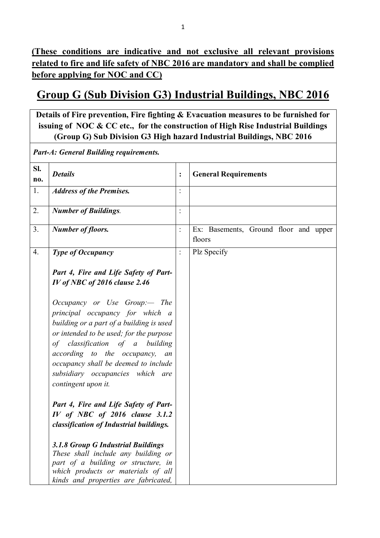**(These conditions are indicative and not exclusive all relevant provisions related to fire and life safety of NBC 2016 are mandatory and shall be complied before applying for NOC and CC)**

# **Group G (Sub Division G3) Industrial Buildings, NBC 2016**

**Details of Fire prevention, Fire fighting & Evacuation measures to be furnished for issuing of NOC & CC etc., for the construction of High Rise Industrial Buildings (Group G) Sub Division G3 High hazard Industrial Buildings, NBC 2016**

*Part-A: General Building requirements.*

| Sl.<br>no.       | <b>Details</b>                                                                                                                                                                                                                                                                                                                    | $\ddot{\cdot}$ | <b>General Requirements</b>                     |
|------------------|-----------------------------------------------------------------------------------------------------------------------------------------------------------------------------------------------------------------------------------------------------------------------------------------------------------------------------------|----------------|-------------------------------------------------|
| 1.               | <b>Address of the Premises.</b>                                                                                                                                                                                                                                                                                                   |                |                                                 |
| $\overline{2}$ . | <b>Number of Buildings.</b>                                                                                                                                                                                                                                                                                                       | $\ddot{\cdot}$ |                                                 |
| 3.               | <b>Number of floors.</b>                                                                                                                                                                                                                                                                                                          | $\ddot{\cdot}$ | Ex: Basements, Ground floor and upper<br>floors |
| 4.               | <b>Type of Occupancy</b>                                                                                                                                                                                                                                                                                                          | $\ddot{\cdot}$ | Plz Specify                                     |
|                  | Part 4, Fire and Life Safety of Part-<br>IV of NBC of 2016 clause 2.46                                                                                                                                                                                                                                                            |                |                                                 |
|                  | Occupancy or Use Group:— The<br>principal occupancy for which a<br>building or a part of a building is used<br>or intended to be used; for the purpose<br>of classification of a building<br>according to the occupancy,<br>an<br>occupancy shall be deemed to include<br>subsidiary occupancies which are<br>contingent upon it. |                |                                                 |
|                  | Part 4, Fire and Life Safety of Part-<br>IV of NBC of 2016 clause 3.1.2<br>classification of Industrial buildings.                                                                                                                                                                                                                |                |                                                 |
|                  | 3.1.8 Group G Industrial Buildings<br>These shall include any building or<br>part of a building or structure, in<br>which products or materials of all<br>kinds and properties are fabricated,                                                                                                                                    |                |                                                 |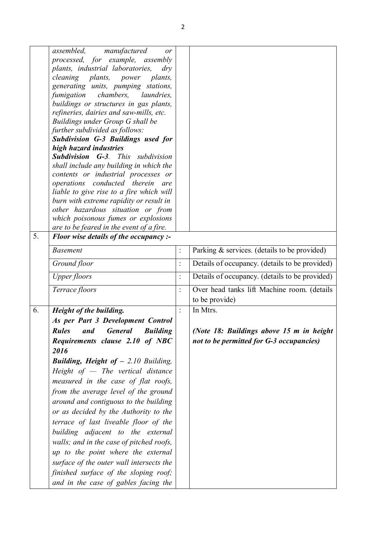|    | manufactured<br>assembled,<br>or                         |                |                                                |
|----|----------------------------------------------------------|----------------|------------------------------------------------|
|    | processed, for example, assembly                         |                |                                                |
|    | plants, industrial laboratories,<br>$\frac{d}{y}$        |                |                                                |
|    | <i>cleaning plants,</i><br>power<br><i>plants,</i>       |                |                                                |
|    | generating units, pumping stations,                      |                |                                                |
|    | fumigation chambers,<br><i>laundries,</i>                |                |                                                |
|    | buildings or structures in gas plants,                   |                |                                                |
|    | refineries, dairies and saw-mills, etc.                  |                |                                                |
|    | Buildings under Group G shall be                         |                |                                                |
|    | further subdivided as follows:                           |                |                                                |
|    | <b>Subdivision G-3 Buildings used for</b>                |                |                                                |
|    | high hazard industries                                   |                |                                                |
|    | <b>Subdivision G-3.</b> This subdivision                 |                |                                                |
|    | shall include any building in which the                  |                |                                                |
|    | contents or industrial processes or                      |                |                                                |
|    | operations conducted therein are                         |                |                                                |
|    | liable to give rise to a fire which will                 |                |                                                |
|    | burn with extreme rapidity or result in                  |                |                                                |
|    | other hazardous situation or from                        |                |                                                |
|    | which poisonous fumes or explosions                      |                |                                                |
|    | are to be feared in the event of a fire.                 |                |                                                |
| 5. | Floor wise details of the occupancy :-                   |                |                                                |
|    | <b>Basement</b>                                          | $\ddot{\cdot}$ | Parking & services. (details to be provided)   |
|    | Ground floor                                             | $\ddot{\cdot}$ | Details of occupancy. (details to be provided) |
|    | <b>Upper floors</b>                                      | $\ddot{\cdot}$ | Details of occupancy. (details to be provided) |
|    | Terrace floors                                           | $\ddot{\cdot}$ | Over head tanks lift Machine room. (details    |
|    |                                                          |                | to be provide)                                 |
| 6. | Height of the building.                                  | $\ddot{\cdot}$ | In Mtrs.                                       |
|    | As per Part 3 Development Control                        |                |                                                |
|    | <b>General</b><br>and<br><b>Rules</b><br><b>Building</b> |                | (Note 18: Buildings above 15 m in height       |
|    | Requirements clause 2.10 of NBC                          |                | not to be permitted for G-3 occupancies)       |
|    | 2016                                                     |                |                                                |
|    | <b>Building, Height of - 2.10 Building,</b>              |                |                                                |
|    |                                                          |                |                                                |
|    | Height of $-$ The vertical distance                      |                |                                                |
|    | measured in the case of flat roofs,                      |                |                                                |
|    | from the average level of the ground                     |                |                                                |
|    | around and contiguous to the building                    |                |                                                |
|    | or as decided by the Authority to the                    |                |                                                |
|    | terrace of last liveable floor of the                    |                |                                                |
|    | building adjacent to the external                        |                |                                                |
|    | walls; and in the case of pitched roofs,                 |                |                                                |
|    | up to the point where the external                       |                |                                                |
|    |                                                          |                |                                                |
|    | surface of the outer wall intersects the                 |                |                                                |
|    | finished surface of the sloping roof;                    |                |                                                |
|    | and in the case of gables facing the                     |                |                                                |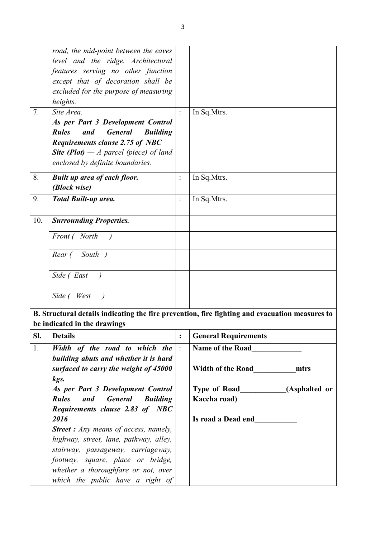|     | road, the mid-point between the eaves                    |                |                                                                                                |
|-----|----------------------------------------------------------|----------------|------------------------------------------------------------------------------------------------|
|     | level and the ridge. Architectural                       |                |                                                                                                |
|     | features serving no other function                       |                |                                                                                                |
|     | except that of decoration shall be                       |                |                                                                                                |
|     | excluded for the purpose of measuring                    |                |                                                                                                |
|     | heights.                                                 |                |                                                                                                |
| 7.  | Site Area.                                               | $\ddot{\cdot}$ | In Sq.Mtrs.                                                                                    |
|     | As per Part 3 Development Control                        |                |                                                                                                |
|     | <b>Rules</b><br><b>General</b><br>and<br><b>Building</b> |                |                                                                                                |
|     | Requirements clause 2.75 of NBC                          |                |                                                                                                |
|     | <b>Site (Plot)</b> $-A$ parcel (piece) of land           |                |                                                                                                |
|     | enclosed by definite boundaries.                         |                |                                                                                                |
| 8.  | <b>Built up area of each floor.</b>                      |                | In Sq.Mtrs.                                                                                    |
|     | (Block wise)                                             |                |                                                                                                |
| 9.  | <b>Total Built-up area.</b>                              | $\ddot{\cdot}$ | In Sq. Mtrs.                                                                                   |
|     |                                                          |                |                                                                                                |
| 10. | <b>Surrounding Properties.</b>                           |                |                                                                                                |
|     | Front (North                                             |                |                                                                                                |
|     | South )<br>Rear (                                        |                |                                                                                                |
|     |                                                          |                |                                                                                                |
|     | Side (East                                               |                |                                                                                                |
|     | Side (West                                               |                |                                                                                                |
|     |                                                          |                |                                                                                                |
|     |                                                          |                | B. Structural details indicating the fire prevention, fire fighting and evacuation measures to |
|     | be indicated in the drawings                             |                |                                                                                                |
|     | Sl. Details                                              |                | <b>General Requirements</b>                                                                    |
| 1.  | Width of the road to which the                           |                | Name of the Road                                                                               |
|     | building abuts and whether it is hard                    |                |                                                                                                |
|     | surfaced to carry the weight of 45000                    |                | Width of the Road<br>mtrs                                                                      |
|     | kgs.                                                     |                |                                                                                                |
|     | As per Part 3 Development Control                        |                | Type of Road___________(Asphalted or                                                           |
|     | <b>Rules</b><br><b>General</b><br>and<br><b>Building</b> |                | Kaccha road)                                                                                   |
|     | Requirements clause 2.83 of NBC                          |                |                                                                                                |
|     | 2016                                                     |                | Is road a Dead end                                                                             |
|     | <b>Street :</b> Any means of access, namely,             |                |                                                                                                |
|     | highway, street, lane, pathway, alley,                   |                |                                                                                                |
|     | stairway, passageway, carriageway,                       |                |                                                                                                |
|     | footway, square, place or bridge,                        |                |                                                                                                |
|     | whether a thoroughfare or not, over                      |                |                                                                                                |
|     | which the public have a right of                         |                |                                                                                                |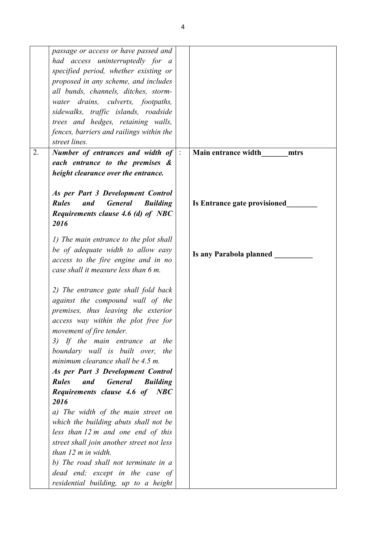|    | passage or access or have passed and                     |                |                              |
|----|----------------------------------------------------------|----------------|------------------------------|
|    | had access uninterruptedly for a                         |                |                              |
|    | specified period, whether existing or                    |                |                              |
|    | proposed in any scheme, and includes                     |                |                              |
|    | all bunds, channels, ditches, storm-                     |                |                              |
|    | water drains, culverts, footpaths,                       |                |                              |
|    | sidewalks, traffic islands, roadside                     |                |                              |
|    |                                                          |                |                              |
|    | trees and hedges, retaining walls,                       |                |                              |
|    | fences, barriers and railings within the                 |                |                              |
|    | street lines.                                            |                |                              |
| 2. | Number of entrances and width of                         | $\mathbb{R}^2$ | Main entrance width<br>mtrs  |
|    | each entrance to the premises &                          |                |                              |
|    | height clearance over the entrance.                      |                |                              |
|    |                                                          |                |                              |
|    | As per Part 3 Development Control                        |                |                              |
|    | <b>Rules</b><br><b>General</b><br>and<br><b>Building</b> |                | Is Entrance gate provisioned |
|    | Requirements clause 4.6 (d) of NBC                       |                |                              |
|    | 2016                                                     |                |                              |
|    |                                                          |                |                              |
|    | 1) The main entrance to the plot shall                   |                |                              |
|    | be of adequate width to allow easy                       |                |                              |
|    | access to the fire engine and in no                      |                | Is any Parabola planned __   |
|    | case shall it measure less than 6 m.                     |                |                              |
|    |                                                          |                |                              |
|    |                                                          |                |                              |
|    | 2) The entrance gate shall fold back                     |                |                              |
|    | against the compound wall of the                         |                |                              |
|    | premises, thus leaving the exterior                      |                |                              |
|    | access way within the plot free for                      |                |                              |
|    | movement of fire tender.                                 |                |                              |
|    | 3) If the main entrance at<br>the                        |                |                              |
|    | boundary wall is built over, the                         |                |                              |
|    | minimum clearance shall be 4.5 m.                        |                |                              |
|    | As per Part 3 Development Control                        |                |                              |
|    | <b>Rules</b><br><b>General</b><br>and<br><b>Building</b> |                |                              |
|    | Requirements clause 4.6 of NBC                           |                |                              |
|    | 2016                                                     |                |                              |
|    | a) The width of the main street on                       |                |                              |
|    | which the building abuts shall not be                    |                |                              |
|    | less than 12 m and one end of this                       |                |                              |
|    |                                                          |                |                              |
|    | street shall join another street not less                |                |                              |
|    | than 12 m in width.                                      |                |                              |
|    | b) The road shall not terminate in a                     |                |                              |
|    | dead end; except in the case of                          |                |                              |
|    | residential building, up to a height                     |                |                              |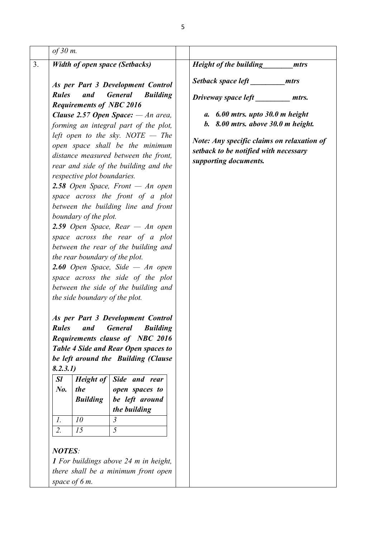| of $30$ m.                                                                                                                                                                                                                                                                                                                          |                                                                                                                                                                                                                                                                                                                                                                                                                                                                                                                                                                                                                                                                                                                                                                                                                                                                                                                                                                                                                                                                  |                                                                                                                                                                                                                                                           |
|-------------------------------------------------------------------------------------------------------------------------------------------------------------------------------------------------------------------------------------------------------------------------------------------------------------------------------------|------------------------------------------------------------------------------------------------------------------------------------------------------------------------------------------------------------------------------------------------------------------------------------------------------------------------------------------------------------------------------------------------------------------------------------------------------------------------------------------------------------------------------------------------------------------------------------------------------------------------------------------------------------------------------------------------------------------------------------------------------------------------------------------------------------------------------------------------------------------------------------------------------------------------------------------------------------------------------------------------------------------------------------------------------------------|-----------------------------------------------------------------------------------------------------------------------------------------------------------------------------------------------------------------------------------------------------------|
| <b>Width of open space (Setbacks)</b>                                                                                                                                                                                                                                                                                               |                                                                                                                                                                                                                                                                                                                                                                                                                                                                                                                                                                                                                                                                                                                                                                                                                                                                                                                                                                                                                                                                  | <b>Height of the building</b><br>mtrs                                                                                                                                                                                                                     |
| <b>Rules</b><br>and<br><b>Requirements of NBC 2016</b><br>respective plot boundaries.<br>boundary of the plot.<br>the rear boundary of the plot.<br>the side boundary of the plot.<br><b>Rules</b><br>and<br>8.2.3.1)<br>SI<br>Height of<br>No.<br>the<br><b>Building</b><br>10<br>1.<br>15<br>2.<br><b>NOTES:</b><br>space of 6 m. | As per Part 3 Development Control<br><b>General</b><br><b>Building</b><br><b>Clause 2.57 Open Space:</b> $-An$ area,<br>forming an integral part of the plot,<br>left open to the sky. NOTE $-$ The<br>open space shall be the minimum<br>distance measured between the front,<br>rear and side of the building and the<br>2.58 Open Space, Front $-$ An open<br>space across the front of a plot<br>between the building line and front<br>2.59 Open Space, Rear $-$ An open<br>space across the rear of a plot<br>between the rear of the building and<br><b>2.60</b> Open Space, Side $-$ An open<br>space across the side of the plot<br>between the side of the building and<br>As per Part 3 Development Control<br><b>General</b><br><b>Building</b><br><b>Requirements clause of NBC 2016</b><br>Table 4 Side and Rear Open spaces to<br>be left around the Building (Clause<br>Side and rear<br>open spaces to<br>be left around<br>the building<br>$\mathfrak{Z}$<br>5<br>1 For buildings above 24 m in height,<br>there shall be a minimum front open | Setback space left mtrs<br>Driveway space left<br>mtrs.<br>$a. 6.00$ mtrs. upto $30.0$ m height<br>$b. 8.00$ mtrs. above $30.0$ m height.<br>Note: Any specific claims on relaxation of<br>setback to be notified with necessary<br>supporting documents. |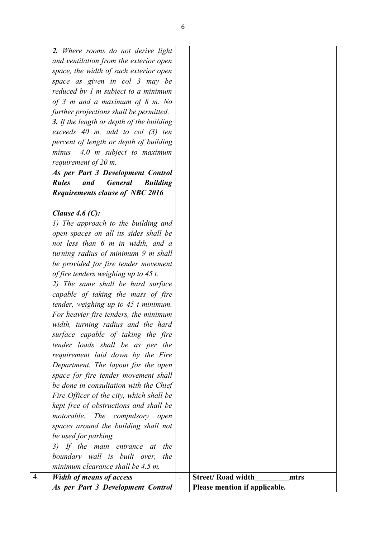|    | As per Part 3 Development Control                                            |                | Please mention if applicable.    |
|----|------------------------------------------------------------------------------|----------------|----------------------------------|
| 4. | <b>Width of means of access</b>                                              | $\ddot{\cdot}$ | <b>Street/Road width</b><br>mtrs |
|    | minimum clearance shall be 4.5 m.                                            |                |                                  |
|    | boundary wall is built over,<br>the                                          |                |                                  |
|    | 3) If the main entrance at<br>the                                            |                |                                  |
|    | be used for parking.                                                         |                |                                  |
|    | spaces around the building shall not                                         |                |                                  |
|    | motorable. The compulsory open                                               |                |                                  |
|    | kept free of obstructions and shall be                                       |                |                                  |
|    | Fire Officer of the city, which shall be                                     |                |                                  |
|    | be done in consultation with the Chief                                       |                |                                  |
|    | space for fire tender movement shall                                         |                |                                  |
|    | Department. The layout for the open                                          |                |                                  |
|    | requirement laid down by the Fire                                            |                |                                  |
|    | tender loads shall be as per the                                             |                |                                  |
|    | surface capable of taking the fire                                           |                |                                  |
|    | width, turning radius and the hard                                           |                |                                  |
|    | For heavier fire tenders, the minimum                                        |                |                                  |
|    | tender, weighing up to $45$ t minimum.                                       |                |                                  |
|    | capable of taking the mass of fire                                           |                |                                  |
|    | 2) The same shall be hard surface                                            |                |                                  |
|    | be provided for fire tender movement<br>of fire tenders weighing up to 45 t. |                |                                  |
|    | turning radius of minimum 9 m shall                                          |                |                                  |
|    | not less than 6 m in width, and a                                            |                |                                  |
|    | open spaces on all its sides shall be                                        |                |                                  |
|    | 1) The approach to the building and                                          |                |                                  |
|    | Clause 4.6 $(C)$ :                                                           |                |                                  |
|    |                                                                              |                |                                  |
|    | <b>Requirements clause of NBC 2016</b>                                       |                |                                  |
|    | <b>Rules</b><br><b>General</b><br><b>Building</b><br>and                     |                |                                  |
|    | As per Part 3 Development Control                                            |                |                                  |
|    | requirement of 20 m.                                                         |                |                                  |
|    | 4.0 m subject to maximum<br>minus                                            |                |                                  |
|    | percent of length or depth of building                                       |                |                                  |
|    | exceeds $40$ m, add to col $(3)$ ten                                         |                |                                  |
|    | 3. If the length or depth of the building                                    |                |                                  |
|    | further projections shall be permitted.                                      |                |                                  |
|    | of 3 m and a maximum of 8 m. No                                              |                |                                  |
|    | reduced by $1$ m subject to a minimum                                        |                |                                  |
|    | space as given in col 3 may be                                               |                |                                  |
|    | space, the width of such exterior open                                       |                |                                  |
|    | and ventilation from the exterior open                                       |                |                                  |
|    | 2. Where rooms do not derive light                                           |                |                                  |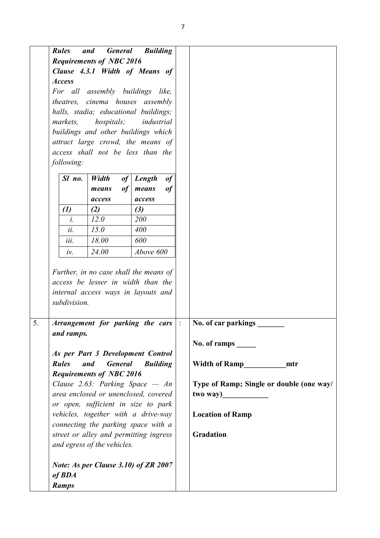|    | <b>Rules</b><br><b>Access</b><br>markets,<br>following: | and<br><b>General</b><br><b>Requirements of NBC 2016</b><br>hospitals; | <b>Building</b><br>Clause 4.3.1 Width of Means of<br>For all assembly buildings like,<br>theatres, cinema houses assembly<br>halls, stadia; educational buildings;<br>industrial<br>buildings and other buildings which<br>attract large crowd, the means of<br>access shall not be less than the |                                                             |
|----|---------------------------------------------------------|------------------------------------------------------------------------|---------------------------------------------------------------------------------------------------------------------------------------------------------------------------------------------------------------------------------------------------------------------------------------------------|-------------------------------------------------------------|
|    | Sl no.                                                  | Width<br>of<br>of<br>means                                             | Length<br>of<br>of<br>means                                                                                                                                                                                                                                                                       |                                                             |
|    |                                                         | access                                                                 | access                                                                                                                                                                                                                                                                                            |                                                             |
|    | $\left( l\right)$                                       | (2)                                                                    | (3)                                                                                                                                                                                                                                                                                               |                                                             |
|    | i.<br>ii.                                               | 12.0<br>15.0                                                           | 200<br>400                                                                                                                                                                                                                                                                                        |                                                             |
|    | iii.                                                    | 18.00                                                                  | 600                                                                                                                                                                                                                                                                                               |                                                             |
|    | iv.                                                     | 24.00                                                                  | Above 600                                                                                                                                                                                                                                                                                         |                                                             |
|    | subdivision.                                            |                                                                        | Further, in no case shall the means of<br>access be lesser in width than the<br>internal access ways in layouts and                                                                                                                                                                               |                                                             |
| 5. | and ramps.                                              |                                                                        | Arrangement for parking the cars                                                                                                                                                                                                                                                                  | $\ddot{\cdot}$<br>No. of car parkings<br>No. of ramps _____ |
|    |                                                         |                                                                        | As per Part 3 Development Control                                                                                                                                                                                                                                                                 |                                                             |
|    | <b>Rules</b>                                            | and<br><b>General</b>                                                  | <b>Building</b>                                                                                                                                                                                                                                                                                   | Width of Ramp<br>mtr                                        |
|    |                                                         | <b>Requirements of NBC 2016</b>                                        |                                                                                                                                                                                                                                                                                                   |                                                             |
|    |                                                         |                                                                        | Clause 2.63: Parking Space $- An$                                                                                                                                                                                                                                                                 | Type of Ramp; Single or double (one way/                    |
|    |                                                         |                                                                        | area enclosed or unenclosed, covered<br>or open, sufficient in size to park                                                                                                                                                                                                                       |                                                             |
|    |                                                         |                                                                        | vehicles, together with a drive-way<br>connecting the parking space with a                                                                                                                                                                                                                        | <b>Location of Ramp</b>                                     |
|    |                                                         | and egress of the vehicles.                                            | street or alley and permitting ingress                                                                                                                                                                                                                                                            | <b>Gradation</b>                                            |
|    | of <b>BDA</b><br><b>Ramps</b>                           |                                                                        | Note: As per Clause 3.10) of ZR 2007                                                                                                                                                                                                                                                              |                                                             |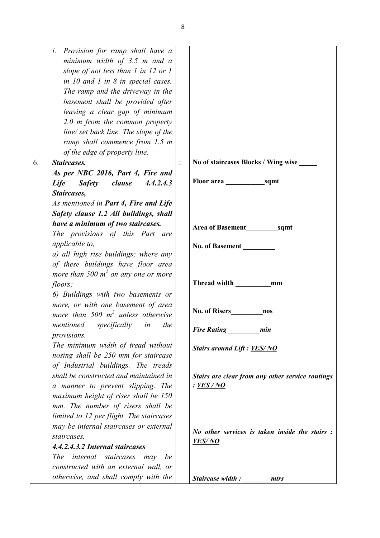| Provision for ramp shall have a<br>i.<br>minimum width of $3.5$ m and a<br>slope of not less than $1$ in $12$ or $1$<br>in $10$ and $1$ in $8$ in special cases.<br>The ramp and the driveway in the<br>basement shall be provided after<br>leaving a clear gap of minimum<br>$2.0$ m from the common property<br>line/ set back line. The slope of the<br>ramp shall commence from 1.5 m |                                                                              |
|-------------------------------------------------------------------------------------------------------------------------------------------------------------------------------------------------------------------------------------------------------------------------------------------------------------------------------------------------------------------------------------------|------------------------------------------------------------------------------|
| of the edge of property line.                                                                                                                                                                                                                                                                                                                                                             |                                                                              |
| Staircases.<br>6.                                                                                                                                                                                                                                                                                                                                                                         | No of staircases Blocks / Wing wise<br>$\ddot{\cdot}$                        |
| As per NBC 2016, Part 4, Fire and<br>Life<br><b>Safety</b><br>clause<br>4.4.2.4.3<br>Staircases,<br>As mentioned in Part 4, Fire and Life<br>Safety clause 1.2 All buildings, shall                                                                                                                                                                                                       |                                                                              |
| have a minimum of two staircases.<br>The provisions of this Part are<br>applicable to,<br>a) all high rise buildings; where any<br>of these buildings have floor area                                                                                                                                                                                                                     | Area of Basement sqmt<br>No. of Basement                                     |
| more than 500 $m^2$ on any one or more<br>floors;<br>6) Buildings with two basements or                                                                                                                                                                                                                                                                                                   | Thread width<br>mm                                                           |
| more, or with one basement of area<br>more than 500 $m^2$ unless otherwise                                                                                                                                                                                                                                                                                                                | nos                                                                          |
| mentioned specifically in<br>the<br>provisions.                                                                                                                                                                                                                                                                                                                                           | Fire Rating<br>min                                                           |
| The minimum width of tread without<br>nosing shall be 250 mm for staircase<br>of Industrial buildings. The treads                                                                                                                                                                                                                                                                         | <b>Stairs around Lift: YES/NO</b>                                            |
| shall be constructed and maintained in<br>a manner to prevent slipping. The<br>maximum height of riser shall be 150<br>mm. The number of risers shall be                                                                                                                                                                                                                                  | Stairs are clear from any other service routings<br>: <b>YES</b> / <b>NO</b> |
| limited to 12 per flight. The staircases<br>may be internal staircases or external<br>staircases.<br>4.4.2.4.3.2 Internal staircases<br><i>internal staircases</i><br><i>The</i><br>may<br>be<br>constructed with an external wall, or                                                                                                                                                    | <i>No other services is taken inside the stairs :</i><br>YES/NO              |
| otherwise, and shall comply with the                                                                                                                                                                                                                                                                                                                                                      | Staircase width:<br>mtrs                                                     |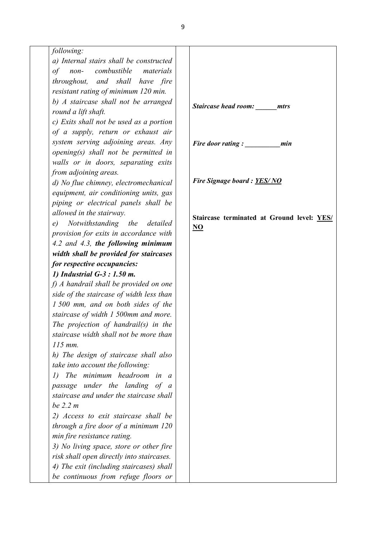*following:* 

*a) Internal stairs shall be constructed of non- combustible materials throughout, and shall have fire resistant rating of minimum 120 min. b) A staircase shall not be arranged round a lift shaft.* 

*c) Exits shall not be used as a portion of a supply, return or exhaust air system serving adjoining areas. Any opening(s) shall not be permitted in walls or in doors, separating exits from adjoining areas.* 

*d) No flue chimney, electromechanical equipment, air conditioning units, gas piping or electrical panels shall be allowed in the stairway.* 

*e) Notwithstanding the detailed provision for exits in accordance with 4.2 and 4.3, the following minimum width shall be provided for staircases for respective occupancies:*

*1) Industrial G-3 : 1.50 m.*

*f) A handrail shall be provided on one side of the staircase of width less than 1 500 mm, and on both sides of the staircase of width 1 500mm and more. The projection of handrail(s) in the staircase width shall not be more than 115 mm.* 

*h) The design of staircase shall also take into account the following:* 

*1) The minimum headroom in a passage under the landing of a staircase and under the staircase shall be 2.2 m* 

*2) Access to exit staircase shall be through a fire door of a minimum 120 min fire resistance rating.* 

*3) No living space, store or other fire risk shall open directly into staircases. 4) The exit (including staircases) shall be continuous from refuge floors or* 

*Staircase head room: \_\_\_\_\_\_mtrs*

*Fire door rating : \_\_\_\_\_\_\_\_\_\_min*

*Fire Signage board : YES/ NO*

**Staircase terminated at Ground level: YES/ NO**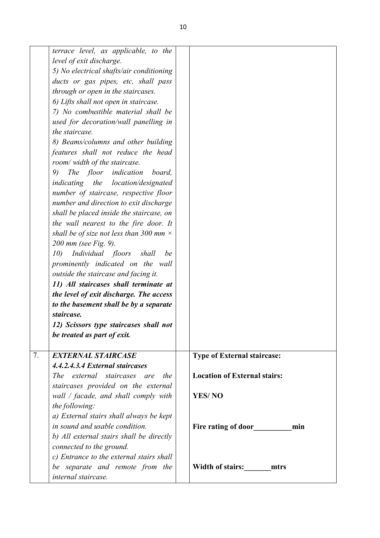|    | terrace level, as applicable, to the<br>level of exit discharge.<br>5) No electrical shafts/air conditioning<br>ducts or gas pipes, etc, shall pass<br>through or open in the staircases.<br>6) Lifts shall not open in staircase.<br>7) No combustible material shall be<br>used for decoration/wall panelling in<br>the staircase.<br>8) Beams/columns and other building<br>features shall not reduce the head<br>room/ width of the staircase.<br>9)<br>The floor indication<br>board,<br>indicating the location/designated<br>number of staircase, respective floor<br>number and direction to exit discharge<br>shall be placed inside the staircase, on<br>the wall nearest to the fire door. It<br>shall be of size not less than 300 mm $\times$<br>200 mm (see Fig. 9).<br>Individual floors<br>10)<br>shall<br>be<br>prominently indicated on the wall<br>outside the staircase and facing it.<br>11) All staircases shall terminate at<br>the level of exit discharge. The access<br>to the basement shall be by a separate<br>staircase.<br>12) Scissors type staircases shall not |                                     |
|----|--------------------------------------------------------------------------------------------------------------------------------------------------------------------------------------------------------------------------------------------------------------------------------------------------------------------------------------------------------------------------------------------------------------------------------------------------------------------------------------------------------------------------------------------------------------------------------------------------------------------------------------------------------------------------------------------------------------------------------------------------------------------------------------------------------------------------------------------------------------------------------------------------------------------------------------------------------------------------------------------------------------------------------------------------------------------------------------------------|-------------------------------------|
|    | be treated as part of exit.                                                                                                                                                                                                                                                                                                                                                                                                                                                                                                                                                                                                                                                                                                                                                                                                                                                                                                                                                                                                                                                                      |                                     |
| 7. | <b>EXTERNAL STAIRCASE</b>                                                                                                                                                                                                                                                                                                                                                                                                                                                                                                                                                                                                                                                                                                                                                                                                                                                                                                                                                                                                                                                                        | Type of External staircase:         |
|    | 4.4.2.4.3.4 External staircases<br>The external staircases are<br>the                                                                                                                                                                                                                                                                                                                                                                                                                                                                                                                                                                                                                                                                                                                                                                                                                                                                                                                                                                                                                            | <b>Location of External stairs:</b> |
|    | staircases provided on the external                                                                                                                                                                                                                                                                                                                                                                                                                                                                                                                                                                                                                                                                                                                                                                                                                                                                                                                                                                                                                                                              |                                     |
|    | wall / facade, and shall comply with                                                                                                                                                                                                                                                                                                                                                                                                                                                                                                                                                                                                                                                                                                                                                                                                                                                                                                                                                                                                                                                             | <b>YES/NO</b>                       |
|    | the following:<br>a) External stairs shall always be kept                                                                                                                                                                                                                                                                                                                                                                                                                                                                                                                                                                                                                                                                                                                                                                                                                                                                                                                                                                                                                                        |                                     |
|    | in sound and usable condition.                                                                                                                                                                                                                                                                                                                                                                                                                                                                                                                                                                                                                                                                                                                                                                                                                                                                                                                                                                                                                                                                   | Fire rating of door<br>min          |
|    | b) All external stairs shall be directly                                                                                                                                                                                                                                                                                                                                                                                                                                                                                                                                                                                                                                                                                                                                                                                                                                                                                                                                                                                                                                                         |                                     |
|    | connected to the ground.<br>c) Entrance to the external stairs shall                                                                                                                                                                                                                                                                                                                                                                                                                                                                                                                                                                                                                                                                                                                                                                                                                                                                                                                                                                                                                             |                                     |
|    | be separate and remote from the<br>internal staircase.                                                                                                                                                                                                                                                                                                                                                                                                                                                                                                                                                                                                                                                                                                                                                                                                                                                                                                                                                                                                                                           | Width of stairs: mtrs               |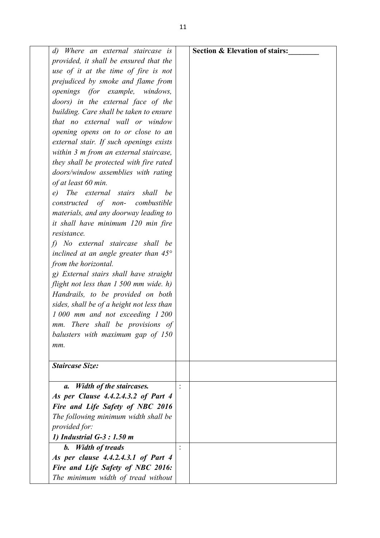| Where an external staircase is<br>$\left( d\right)$ | <b>Section &amp; Elevation of stairs:</b> |
|-----------------------------------------------------|-------------------------------------------|
| provided, it shall be ensured that the              |                                           |
| use of it at the time of fire is not                |                                           |
| prejudiced by smoke and flame from                  |                                           |
| openings (for example, windows,                     |                                           |
| doors) in the external face of the                  |                                           |
| building. Care shall be taken to ensure             |                                           |
| that no external wall or window                     |                                           |
| opening opens on to or close to an                  |                                           |
| external stair. If such openings exists             |                                           |
| within 3 m from an external staircase,              |                                           |
| they shall be protected with fire rated             |                                           |
| doors/window assemblies with rating                 |                                           |
| of at least 60 min.                                 |                                           |
| e) The external stairs shall<br>be                  |                                           |
| constructed of non-<br>combustible                  |                                           |
| materials, and any doorway leading to               |                                           |
| it shall have minimum 120 min fire                  |                                           |
| resistance.                                         |                                           |
| f) No external staircase shall be                   |                                           |
| inclined at an angle greater than $45^{\circ}$      |                                           |
| from the horizontal.                                |                                           |
| g) External stairs shall have straight              |                                           |
| flight not less than $1500$ mm wide. h)             |                                           |
| Handrails, to be provided on both                   |                                           |
| sides, shall be of a height not less than           |                                           |
| 1 000 mm and not exceeding 1 200                    |                                           |
| mm. There shall be provisions of                    |                                           |
| balusters with maximum gap of 150                   |                                           |
| mm.                                                 |                                           |
|                                                     |                                           |
| <b>Staircase Size:</b>                              |                                           |
| Width of the staircases.<br>а.                      |                                           |
| As per Clause 4.4.2.4.3.2 of Part 4                 |                                           |
| Fire and Life Safety of NBC 2016                    |                                           |
| The following minimum width shall be                |                                           |
| provided for:                                       |                                           |
| 1) Industrial G-3 : 1.50 m                          |                                           |
| b. Width of treads                                  |                                           |
| As per clause 4.4.2.4.3.1 of Part 4                 |                                           |
| Fire and Life Safety of NBC 2016:                   |                                           |
| The minimum width of tread without                  |                                           |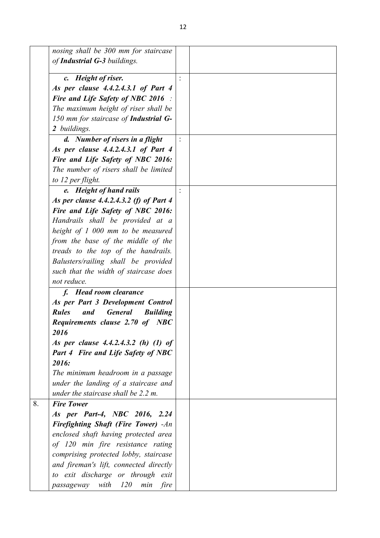| nosing shall be 300 mm for staircase<br>of Industrial G-3 buildings.        |  |
|-----------------------------------------------------------------------------|--|
| c. Height of riser.                                                         |  |
| As per clause 4.4.2.4.3.1 of Part 4                                         |  |
| <b>Fire and Life Safety of NBC 2016</b> :                                   |  |
| The maximum height of riser shall be                                        |  |
| 150 mm for staircase of <b>Industrial G-</b>                                |  |
| 2 buildings.                                                                |  |
| d. Number of risers in a flight                                             |  |
| As per clause 4.4.2.4.3.1 of Part 4                                         |  |
| Fire and Life Safety of NBC 2016:                                           |  |
| The number of risers shall be limited                                       |  |
|                                                                             |  |
| to 12 per flight.<br>e. Height of hand rails                                |  |
| As per clause 4.4.2.4.3.2 (f) of Part 4                                     |  |
| Fire and Life Safety of NBC 2016:                                           |  |
| Handrails shall be provided at a                                            |  |
| height of 1 000 mm to be measured                                           |  |
| from the base of the middle of the                                          |  |
|                                                                             |  |
| treads to the top of the handrails.                                         |  |
| Balusters/railing shall be provided                                         |  |
| such that the width of staircase does<br>not reduce.                        |  |
|                                                                             |  |
| f. Head room clearance                                                      |  |
| As per Part 3 Development Control                                           |  |
| <b>General</b><br><b>Rules</b><br>and<br><b>Building</b>                    |  |
| <b>Requirements clause 2.70 of NBC</b>                                      |  |
| 2016                                                                        |  |
| As per clause 4.4.2.4.3.2 (h) (1) of                                        |  |
| <b>Part 4 Fire and Life Safety of NBC</b><br>2016:                          |  |
|                                                                             |  |
| The minimum headroom in a passage                                           |  |
| under the landing of a staircase and<br>under the staircase shall be 2.2 m. |  |
|                                                                             |  |
| <b>Fire Tower</b>                                                           |  |
| As per Part-4, NBC 2016, 2.24                                               |  |
| <b>Firefighting Shaft (Fire Tower)</b> -An                                  |  |
| enclosed shaft having protected area                                        |  |
| of 120 min fire resistance rating                                           |  |
| comprising protected lobby, staircase                                       |  |
| and fireman's lift, connected directly                                      |  |
| to exit discharge or through exit                                           |  |
| <i>120</i><br>passageway with<br>min<br>fire                                |  |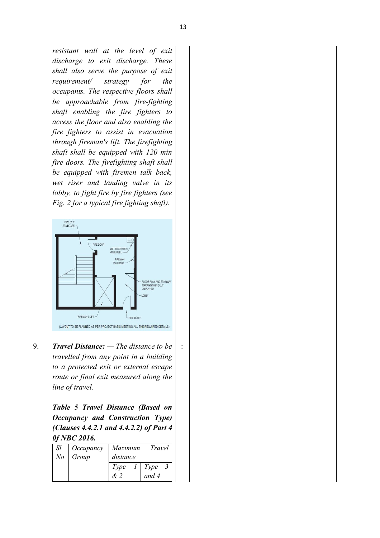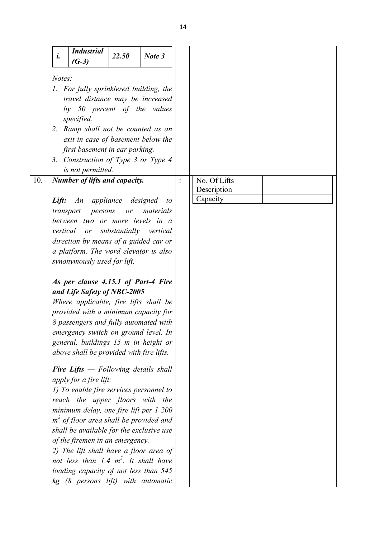|     | <b>Industrial</b>                             |                        |           |
|-----|-----------------------------------------------|------------------------|-----------|
|     | i.<br>$(G-3)$                                 | 22.50                  | Note 3    |
|     | Notes:                                        |                        |           |
|     | 1. For fully sprinklered building, the        |                        |           |
|     | travel distance may be increased              |                        |           |
|     | by 50 percent of the values                   |                        |           |
|     | specified.                                    |                        |           |
|     | 2. Ramp shall not be counted as an            |                        |           |
|     | exit in case of basement below the            |                        |           |
|     | first basement in car parking.                |                        |           |
|     | 3. Construction of Type 3 or Type 4           |                        |           |
|     | is not permitted.                             |                        |           |
| 10. | <b>Number of lifts and capacity.</b>          |                        |           |
|     |                                               |                        |           |
|     | An appliance designed<br>Lift:                |                        | to        |
|     | transport<br>persons                          | or                     | materials |
|     | between two or more levels in a               |                        |           |
|     | vertical or                                   | substantially vertical |           |
|     | direction by means of a guided car or         |                        |           |
|     | a platform. The word elevator is also         |                        |           |
|     | synonymously used for lift.                   |                        |           |
|     | As per clause 4.15.1 of Part-4 Fire           |                        |           |
|     | and Life Safety of NBC-2005                   |                        |           |
|     | Where applicable, fire lifts shall be         |                        |           |
|     | provided with a minimum capacity for          |                        |           |
|     | 8 passengers and fully automated with         |                        |           |
|     | emergency switch on ground level. In          |                        |           |
|     | general, buildings 15 m in height or          |                        |           |
|     | above shall be provided with fire lifts.      |                        |           |
|     |                                               |                        |           |
|     | <b>Fire Lifts</b> $-$ Following details shall |                        |           |
|     | apply for a fire lift:                        |                        |           |
|     | 1) To enable fire services personnel to       |                        |           |
|     | reach the upper floors with the               |                        |           |
|     | minimum delay, one fire lift per 1 200        |                        |           |
|     | $m2$ of floor area shall be provided and      |                        |           |
|     | shall be available for the exclusive use      |                        |           |
|     | of the firemen in an emergency.               |                        |           |
|     | 2) The lift shall have a floor area of        |                        |           |
|     | not less than 1.4 $m^2$ . It shall have       |                        |           |
|     | loading capacity of not less than 545         |                        |           |
|     | kg (8 persons lift) with automatic            |                        |           |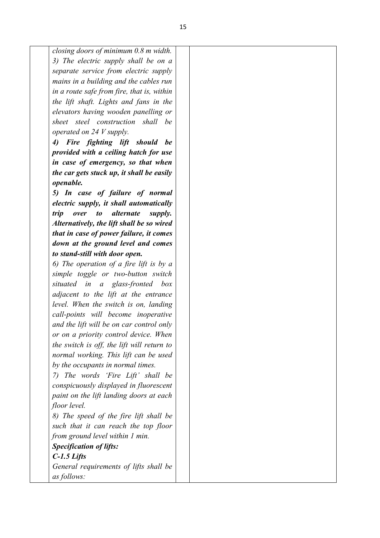*closing doors of minimum 0.8 m width. 3) The electric supply shall be on a separate service from electric supply mains in a building and the cables run in a route safe from fire, that is, within the lift shaft. Lights and fans in the elevators having wooden panelling or sheet steel construction shall be operated on 24 V supply.*

*4) Fire fighting lift should be provided with a ceiling hatch for use in case of emergency, so that when the car gets stuck up, it shall be easily openable.*

*5) In case of failure of normal electric supply, it shall automatically trip over to alternate supply. Alternatively, the lift shall be so wired that in case of power failure, it comes down at the ground level and comes to stand-still with door open.*

*6) The operation of a fire lift is by a simple toggle or two-button switch situated in a glass-fronted box adjacent to the lift at the entrance level. When the switch is on, landing call-points will become inoperative and the lift will be on car control only or on a priority control device. When the switch is off, the lift will return to normal working. This lift can be used by the occupants in normal times.*

*7) The words 'Fire Lift' shall be conspicuously displayed in fluorescent paint on the lift landing doors at each floor level.*

*8) The speed of the fire lift shall be such that it can reach the top floor from ground level within 1 min.*

*Specification of lifts:*

*C-1.5 Lifts*

*General requirements of lifts shall be as follows:*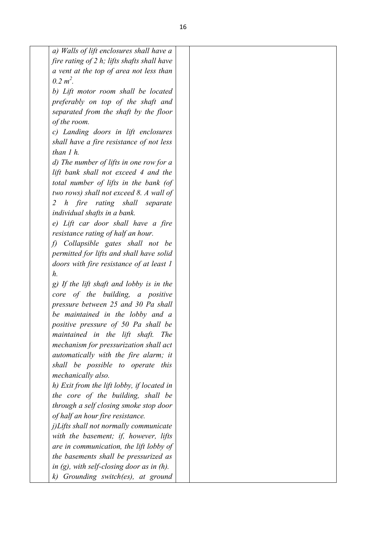| a) Walls of lift enclosures shall have a         |  |
|--------------------------------------------------|--|
| fire rating of $2$ h; lifts shafts shall have    |  |
| a vent at the top of area not less than          |  |
| $0.2 m2$ .                                       |  |
| b) Lift motor room shall be located              |  |
| preferably on top of the shaft and               |  |
| separated from the shaft by the floor            |  |
| of the room.                                     |  |
| c) Landing doors in lift enclosures              |  |
| shall have a fire resistance of not less         |  |
| than $1 h$ .                                     |  |
| d) The number of lifts in one row for a          |  |
| lift bank shall not exceed 4 and the             |  |
| total number of lifts in the bank (of            |  |
| two rows) shall not exceed 8. A wall of          |  |
| h fire rating shall separate<br>2                |  |
| individual shafts in a bank.                     |  |
| e) Lift car door shall have a fire               |  |
| resistance rating of half an hour.               |  |
| Collapsible gates shall not be<br>$\mathfrak{h}$ |  |
| permitted for lifts and shall have solid         |  |
| doors with fire resistance of at least 1         |  |
| h.                                               |  |
| g) If the lift shaft and lobby is in the         |  |
| core of the building, a positive                 |  |
| pressure between 25 and 30 Pa shall              |  |
| be maintained in the lobby and a                 |  |
| positive pressure of 50 Pa shall be              |  |
| maintained in the lift shaft.<br><i>The</i>      |  |
| mechanism for pressurization shall act           |  |
| automatically with the fire alarm; it            |  |
| shall be possible to operate this                |  |
| mechanically also.                               |  |
| h) Exit from the lift lobby, if located in       |  |
| the core of the building, shall be               |  |
| through a self closing smoke stop door           |  |
| of half an hour fire resistance.                 |  |
| j)Lifts shall not normally communicate           |  |
| with the basement; if, however, lifts            |  |
| are in communication, the lift lobby of          |  |
| the basements shall be pressurized as            |  |
| in $(g)$ , with self-closing door as in $(h)$ .  |  |
| k) Grounding switch(es), at ground               |  |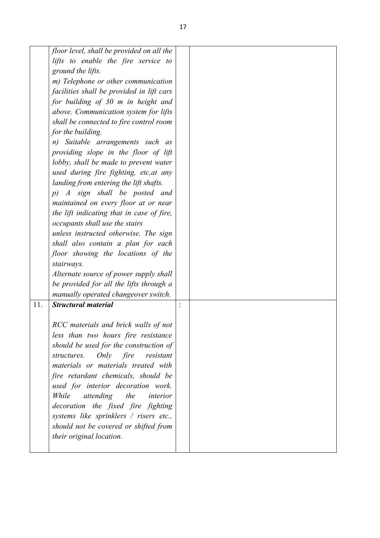|     | floor level, shall be provided on all the |  |  |
|-----|-------------------------------------------|--|--|
|     | lifts to enable the fire service to       |  |  |
|     | ground the lifts.                         |  |  |
|     | m) Telephone or other communication       |  |  |
|     | facilities shall be provided in lift cars |  |  |
|     | for building of 30 m in height and        |  |  |
|     | above. Communication system for lifts     |  |  |
|     | shall be connected to fire control room   |  |  |
|     | for the building.                         |  |  |
|     | Suitable arrangements such as<br>n)       |  |  |
|     | providing slope in the floor of lift      |  |  |
|     | lobby, shall be made to prevent water     |  |  |
|     | used during fire fighting, etc, at any    |  |  |
|     | landing from entering the lift shafts.    |  |  |
|     | A sign shall be posted and<br>$p$ )       |  |  |
|     | maintained on every floor at or near      |  |  |
|     | the lift indicating that in case of fire, |  |  |
|     | occupants shall use the stairs            |  |  |
|     | unless instructed otherwise. The sign     |  |  |
|     | shall also contain a plan for each        |  |  |
|     | floor showing the locations of the        |  |  |
|     | stairways.                                |  |  |
|     | Alternate source of power supply shall    |  |  |
|     | be provided for all the lifts through a   |  |  |
|     | manually operated changeover switch.      |  |  |
| 11. | <b>Structural material</b>                |  |  |
|     |                                           |  |  |
|     | RCC materials and brick walls of not      |  |  |
|     | less than two hours fire resistance       |  |  |
|     | should be used for the construction of    |  |  |
|     | structures. Only fire<br>resistant        |  |  |
|     | materials or materials treated with       |  |  |
|     | fire retardant chemicals, should be       |  |  |
|     | used for interior decoration work.        |  |  |
|     | While<br>attending<br>the<br>interior     |  |  |
|     | decoration the fixed fire fighting        |  |  |
|     | systems like sprinklers / risers etc.,    |  |  |
|     | should not be covered or shifted from     |  |  |
|     | their original location.                  |  |  |
|     |                                           |  |  |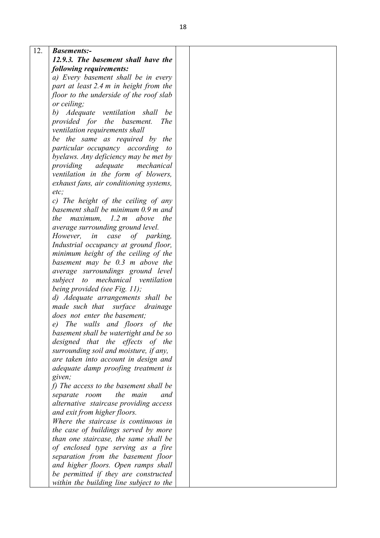| 12. | <b>Basements:-</b>                       |  |
|-----|------------------------------------------|--|
|     | 12.9.3. The basement shall have the      |  |
|     | following requirements:                  |  |
|     | a) Every basement shall be in every      |  |
|     | part at least 2.4 m in height from the   |  |
|     | floor to the underside of the roof slab  |  |
|     | or ceiling;                              |  |
|     | b) Adequate ventilation shall<br>be      |  |
|     | provided for the basement.<br><i>The</i> |  |
|     | ventilation requirements shall           |  |
|     | be the same as required by the           |  |
|     | particular occupancy according to        |  |
|     | byelaws. Any deficiency may be met by    |  |
|     | providing adequate mechanical            |  |
|     | ventilation in the form of blowers,      |  |
|     | exhaust fans, air conditioning systems,  |  |
|     | etc.                                     |  |
|     | c) The height of the ceiling of any      |  |
|     | basement shall be minimum 0.9 m and      |  |
|     | the maximum, $1.2 \text{ m}$ above the   |  |
|     | average surrounding ground level.        |  |
|     | However,<br>in case<br>of parking,       |  |
|     | Industrial occupancy at ground floor,    |  |
|     | minimum height of the ceiling of the     |  |
|     | basement may be $0.3$ m above the        |  |
|     | average surroundings ground level        |  |
|     | to mechanical ventilation<br>subject     |  |
|     | being provided (see Fig. 11);            |  |
|     | d) Adequate arrangements shall be        |  |
|     | made such that surface<br>drainage       |  |
|     | does not enter the basement;             |  |
|     | e) The walls and floors of the           |  |
|     | basement shall be watertight and be so   |  |
|     | designed that the effects of the         |  |
|     | surrounding soil and moisture, if any,   |  |
|     | are taken into account in design and     |  |
|     | adequate damp proofing treatment is      |  |
|     | given;                                   |  |
|     | f) The access to the basement shall be   |  |
|     | the main<br>separate room<br>and         |  |
|     | alternative staircase providing access   |  |
|     | and exit from higher floors.             |  |
|     | Where the staircase is continuous in     |  |
|     | the case of buildings served by more     |  |
|     | than one staircase, the same shall be    |  |
|     | of enclosed type serving as a fire       |  |
|     | separation from the basement floor       |  |
|     | and higher floors. Open ramps shall      |  |
|     | be permitted if they are constructed     |  |
|     | within the building line subject to the  |  |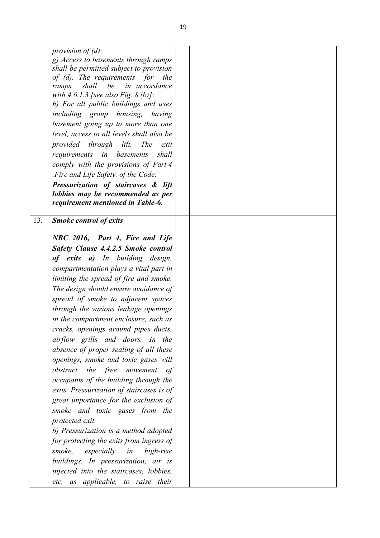|     | provision of $(d)$ ;                                                         |  |
|-----|------------------------------------------------------------------------------|--|
|     | g) Access to basements through ramps                                         |  |
|     | shall be permitted subject to provision                                      |  |
|     | of (d). The requirements for<br>the<br>in accordance<br>shall<br>be<br>ramps |  |
|     | with 4.6.1.3 [see also Fig. 8 (b)];                                          |  |
|     | h) For all public buildings and uses                                         |  |
|     | including group housing, having                                              |  |
|     | basement going up to more than one                                           |  |
|     | level, access to all levels shall also be                                    |  |
|     | provided through lift.<br><i>The</i><br>exit                                 |  |
|     | requirements in basements<br>shall                                           |  |
|     | comply with the provisions of Part 4                                         |  |
|     | .Fire and Life Safety. of the Code.                                          |  |
|     | Pressurization of staircases & lift                                          |  |
|     | lobbies may be recommended as per                                            |  |
|     | requirement mentioned in Table-6.                                            |  |
|     |                                                                              |  |
| 13. | <b>Smoke control of exits</b>                                                |  |
|     | NBC 2016, Part 4, Fire and Life                                              |  |
|     | Safety Clause 4.4.2.5 Smoke control                                          |  |
|     | of exits a) In building design,                                              |  |
|     | compartmentation plays a vital part in                                       |  |
|     | limiting the spread of fire and smoke.                                       |  |
|     | The design should ensure avoidance of                                        |  |
|     | spread of smoke to adjacent spaces                                           |  |
|     | through the various leakage openings                                         |  |
|     | in the compartment enclosure, such as                                        |  |
|     | cracks, openings around pipes ducts,                                         |  |
|     | airflow grills and doors. In the                                             |  |
|     | absence of proper sealing of all these                                       |  |
|     | openings, smoke and toxic gases will                                         |  |
|     | obstruct the free movement<br>of                                             |  |
|     | occupants of the building through the                                        |  |
|     | exits. Pressurization of staircases is of                                    |  |
|     | great importance for the exclusion of                                        |  |
|     | smoke and toxic gases from the                                               |  |
|     | protected exit.                                                              |  |
|     | b) Pressurization is a method adopted                                        |  |
|     | for protecting the exits from ingress of                                     |  |
|     | smoke,<br>especially in<br>high-rise                                         |  |
|     | buildings. In pressurization, air is                                         |  |
|     | injected into the staircases, lobbies,                                       |  |
|     | etc, as applicable, to raise their                                           |  |
|     |                                                                              |  |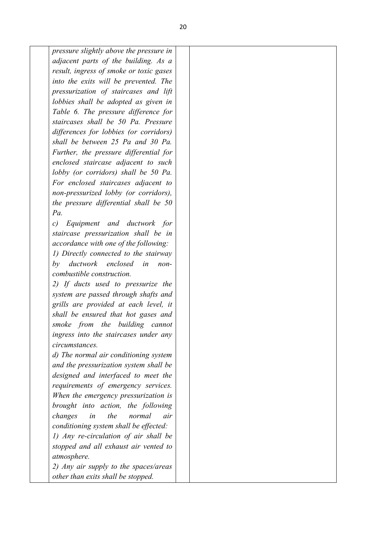*pressure slightly above the pressure in adjacent parts of the building. As a result, ingress of smoke or toxic gases into the exits will be prevented. The pressurization of staircases and lift lobbies shall be adopted as given in Table 6. The pressure difference for staircases shall be 50 Pa. Pressure differences for lobbies (or corridors) shall be between 25 Pa and 30 Pa. Further, the pressure differential for enclosed staircase adjacent to such lobby (or corridors) shall be 50 Pa. For enclosed staircases adjacent to non-pressurized lobby (or corridors), the pressure differential shall be 50 Pa. c) Equipment and ductwork for* 

*staircase pressurization shall be in accordance with one of the following: 1) Directly connected to the stairway by ductwork enclosed in noncombustible construction.* 

*2) If ducts used to pressurize the system are passed through shafts and grills are provided at each level, it shall be ensured that hot gases and smoke from the building cannot ingress into the staircases under any circumstances.* 

*d) The normal air conditioning system and the pressurization system shall be designed and interfaced to meet the requirements of emergency services. When the emergency pressurization is brought into action, the following changes in the normal air conditioning system shall be effected: 1) Any re-circulation of air shall be stopped and all exhaust air vented to atmosphere.* 

*2) Any air supply to the spaces/areas other than exits shall be stopped.*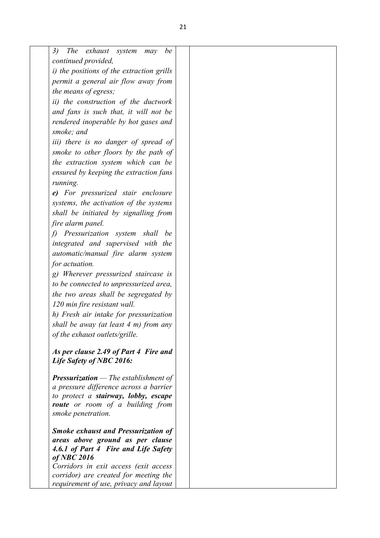| <i>The</i><br>exhaust<br>3)<br>be<br>system<br>may<br>continued provided,<br><i>i)</i> the positions of the extraction grills<br>permit a general air flow away from<br>the means of egress;<br>ii) the construction of the ductwork<br>and fans is such that, it will not be<br>rendered inoperable by hot gases and<br>smoke; and<br><i>iii</i> ) there is no danger of spread of<br>smoke to other floors by the path of<br>the extraction system which can be<br>ensured by keeping the extraction fans<br>running.<br>e) For pressurized stair enclosure<br>systems, the activation of the systems<br>shall be initiated by signalling from<br>fire alarm panel.<br>f) Pressurization system shall be<br>integrated and supervised with the<br>automatic/manual fire alarm system<br>for actuation.<br>g) Wherever pressurized staircase is<br>to be connected to unpressurized area,<br>the two areas shall be segregated by<br>120 min fire resistant wall.<br>h) Fresh air intake for pressurization<br>shall be away (at least 4 m) from any<br>of the exhaust outlets/grille. |  |
|-----------------------------------------------------------------------------------------------------------------------------------------------------------------------------------------------------------------------------------------------------------------------------------------------------------------------------------------------------------------------------------------------------------------------------------------------------------------------------------------------------------------------------------------------------------------------------------------------------------------------------------------------------------------------------------------------------------------------------------------------------------------------------------------------------------------------------------------------------------------------------------------------------------------------------------------------------------------------------------------------------------------------------------------------------------------------------------------|--|
|                                                                                                                                                                                                                                                                                                                                                                                                                                                                                                                                                                                                                                                                                                                                                                                                                                                                                                                                                                                                                                                                                         |  |
|                                                                                                                                                                                                                                                                                                                                                                                                                                                                                                                                                                                                                                                                                                                                                                                                                                                                                                                                                                                                                                                                                         |  |
|                                                                                                                                                                                                                                                                                                                                                                                                                                                                                                                                                                                                                                                                                                                                                                                                                                                                                                                                                                                                                                                                                         |  |
|                                                                                                                                                                                                                                                                                                                                                                                                                                                                                                                                                                                                                                                                                                                                                                                                                                                                                                                                                                                                                                                                                         |  |
|                                                                                                                                                                                                                                                                                                                                                                                                                                                                                                                                                                                                                                                                                                                                                                                                                                                                                                                                                                                                                                                                                         |  |
|                                                                                                                                                                                                                                                                                                                                                                                                                                                                                                                                                                                                                                                                                                                                                                                                                                                                                                                                                                                                                                                                                         |  |
|                                                                                                                                                                                                                                                                                                                                                                                                                                                                                                                                                                                                                                                                                                                                                                                                                                                                                                                                                                                                                                                                                         |  |
|                                                                                                                                                                                                                                                                                                                                                                                                                                                                                                                                                                                                                                                                                                                                                                                                                                                                                                                                                                                                                                                                                         |  |
|                                                                                                                                                                                                                                                                                                                                                                                                                                                                                                                                                                                                                                                                                                                                                                                                                                                                                                                                                                                                                                                                                         |  |
|                                                                                                                                                                                                                                                                                                                                                                                                                                                                                                                                                                                                                                                                                                                                                                                                                                                                                                                                                                                                                                                                                         |  |
|                                                                                                                                                                                                                                                                                                                                                                                                                                                                                                                                                                                                                                                                                                                                                                                                                                                                                                                                                                                                                                                                                         |  |
|                                                                                                                                                                                                                                                                                                                                                                                                                                                                                                                                                                                                                                                                                                                                                                                                                                                                                                                                                                                                                                                                                         |  |
|                                                                                                                                                                                                                                                                                                                                                                                                                                                                                                                                                                                                                                                                                                                                                                                                                                                                                                                                                                                                                                                                                         |  |
|                                                                                                                                                                                                                                                                                                                                                                                                                                                                                                                                                                                                                                                                                                                                                                                                                                                                                                                                                                                                                                                                                         |  |
|                                                                                                                                                                                                                                                                                                                                                                                                                                                                                                                                                                                                                                                                                                                                                                                                                                                                                                                                                                                                                                                                                         |  |
|                                                                                                                                                                                                                                                                                                                                                                                                                                                                                                                                                                                                                                                                                                                                                                                                                                                                                                                                                                                                                                                                                         |  |
|                                                                                                                                                                                                                                                                                                                                                                                                                                                                                                                                                                                                                                                                                                                                                                                                                                                                                                                                                                                                                                                                                         |  |
|                                                                                                                                                                                                                                                                                                                                                                                                                                                                                                                                                                                                                                                                                                                                                                                                                                                                                                                                                                                                                                                                                         |  |
|                                                                                                                                                                                                                                                                                                                                                                                                                                                                                                                                                                                                                                                                                                                                                                                                                                                                                                                                                                                                                                                                                         |  |
|                                                                                                                                                                                                                                                                                                                                                                                                                                                                                                                                                                                                                                                                                                                                                                                                                                                                                                                                                                                                                                                                                         |  |
|                                                                                                                                                                                                                                                                                                                                                                                                                                                                                                                                                                                                                                                                                                                                                                                                                                                                                                                                                                                                                                                                                         |  |
|                                                                                                                                                                                                                                                                                                                                                                                                                                                                                                                                                                                                                                                                                                                                                                                                                                                                                                                                                                                                                                                                                         |  |
|                                                                                                                                                                                                                                                                                                                                                                                                                                                                                                                                                                                                                                                                                                                                                                                                                                                                                                                                                                                                                                                                                         |  |
|                                                                                                                                                                                                                                                                                                                                                                                                                                                                                                                                                                                                                                                                                                                                                                                                                                                                                                                                                                                                                                                                                         |  |
|                                                                                                                                                                                                                                                                                                                                                                                                                                                                                                                                                                                                                                                                                                                                                                                                                                                                                                                                                                                                                                                                                         |  |
|                                                                                                                                                                                                                                                                                                                                                                                                                                                                                                                                                                                                                                                                                                                                                                                                                                                                                                                                                                                                                                                                                         |  |
|                                                                                                                                                                                                                                                                                                                                                                                                                                                                                                                                                                                                                                                                                                                                                                                                                                                                                                                                                                                                                                                                                         |  |
|                                                                                                                                                                                                                                                                                                                                                                                                                                                                                                                                                                                                                                                                                                                                                                                                                                                                                                                                                                                                                                                                                         |  |
|                                                                                                                                                                                                                                                                                                                                                                                                                                                                                                                                                                                                                                                                                                                                                                                                                                                                                                                                                                                                                                                                                         |  |
|                                                                                                                                                                                                                                                                                                                                                                                                                                                                                                                                                                                                                                                                                                                                                                                                                                                                                                                                                                                                                                                                                         |  |
| As per clause 2.49 of Part 4 Fire and                                                                                                                                                                                                                                                                                                                                                                                                                                                                                                                                                                                                                                                                                                                                                                                                                                                                                                                                                                                                                                                   |  |
| Life Safety of NBC 2016:                                                                                                                                                                                                                                                                                                                                                                                                                                                                                                                                                                                                                                                                                                                                                                                                                                                                                                                                                                                                                                                                |  |
|                                                                                                                                                                                                                                                                                                                                                                                                                                                                                                                                                                                                                                                                                                                                                                                                                                                                                                                                                                                                                                                                                         |  |
| <b>Pressurization</b> — The establishment of                                                                                                                                                                                                                                                                                                                                                                                                                                                                                                                                                                                                                                                                                                                                                                                                                                                                                                                                                                                                                                            |  |
| a pressure difference across a barrier<br>to protect a stairway, lobby, escape                                                                                                                                                                                                                                                                                                                                                                                                                                                                                                                                                                                                                                                                                                                                                                                                                                                                                                                                                                                                          |  |
| route or room of a building from                                                                                                                                                                                                                                                                                                                                                                                                                                                                                                                                                                                                                                                                                                                                                                                                                                                                                                                                                                                                                                                        |  |
| smoke penetration.                                                                                                                                                                                                                                                                                                                                                                                                                                                                                                                                                                                                                                                                                                                                                                                                                                                                                                                                                                                                                                                                      |  |
|                                                                                                                                                                                                                                                                                                                                                                                                                                                                                                                                                                                                                                                                                                                                                                                                                                                                                                                                                                                                                                                                                         |  |
| <b>Smoke exhaust and Pressurization of</b>                                                                                                                                                                                                                                                                                                                                                                                                                                                                                                                                                                                                                                                                                                                                                                                                                                                                                                                                                                                                                                              |  |
| areas above ground as per clause                                                                                                                                                                                                                                                                                                                                                                                                                                                                                                                                                                                                                                                                                                                                                                                                                                                                                                                                                                                                                                                        |  |
| 4.6.1 of Part 4 Fire and Life Safety                                                                                                                                                                                                                                                                                                                                                                                                                                                                                                                                                                                                                                                                                                                                                                                                                                                                                                                                                                                                                                                    |  |
| $of$ NBC $2016$<br>Corridors in exit access (exit access                                                                                                                                                                                                                                                                                                                                                                                                                                                                                                                                                                                                                                                                                                                                                                                                                                                                                                                                                                                                                                |  |
| corridor) are created for meeting the                                                                                                                                                                                                                                                                                                                                                                                                                                                                                                                                                                                                                                                                                                                                                                                                                                                                                                                                                                                                                                                   |  |
| requirement of use, privacy and layout                                                                                                                                                                                                                                                                                                                                                                                                                                                                                                                                                                                                                                                                                                                                                                                                                                                                                                                                                                                                                                                  |  |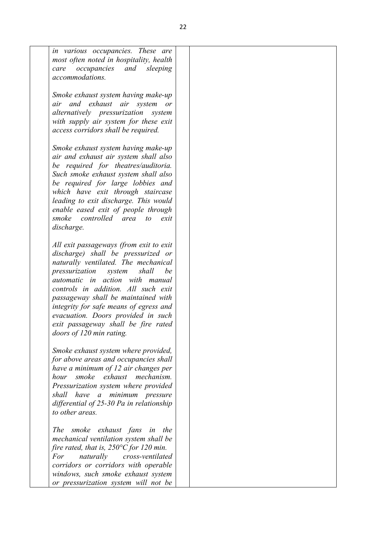| in various occupancies. These are<br>most often noted in hospitality, health<br><i>occupancies</i> and<br>sleeping<br>care<br>accommodations.                                                                                                                                                                                                                                                                                        |  |
|--------------------------------------------------------------------------------------------------------------------------------------------------------------------------------------------------------------------------------------------------------------------------------------------------------------------------------------------------------------------------------------------------------------------------------------|--|
|                                                                                                                                                                                                                                                                                                                                                                                                                                      |  |
| Smoke exhaust system having make-up<br>air and exhaust air system or<br>alternatively pressurization<br>system<br>with supply air system for these exit<br>access corridors shall be required.                                                                                                                                                                                                                                       |  |
| Smoke exhaust system having make-up<br>air and exhaust air system shall also<br>be required for theatres/auditoria.<br>Such smoke exhaust system shall also<br>be required for large lobbies and<br>which have exit through staircase<br>leading to exit discharge. This would<br>enable eased exit of people through<br>smoke controlled area<br>$\omega$<br>exit<br>discharge.                                                     |  |
| All exit passageways (from exit to exit<br>discharge) shall be pressurized or<br>naturally ventilated. The mechanical<br>shall<br>be<br>pressurization<br>system<br>automatic in action with manual<br>controls in addition. All such exit<br>passageway shall be maintained with<br>integrity for safe means of egress and<br>evacuation. Doors provided in such<br>exit passageway shall be fire rated<br>doors of 120 min rating. |  |
| Smoke exhaust system where provided,<br>for above areas and occupancies shall<br>have a minimum of 12 air changes per<br>smoke exhaust mechanism.<br>hour<br>Pressurization system where provided<br>shall have a minimum pressure<br>differential of 25-30 Pa in relationship<br>to other areas.                                                                                                                                    |  |
| The smoke exhaust fans<br>in the<br>mechanical ventilation system shall be<br>fire rated, that is, $250^{\circ}$ C for 120 min.<br>For<br>naturally<br>cross-ventilated<br>corridors or corridors with operable<br>windows, such smoke exhaust system<br>or pressurization system will not be                                                                                                                                        |  |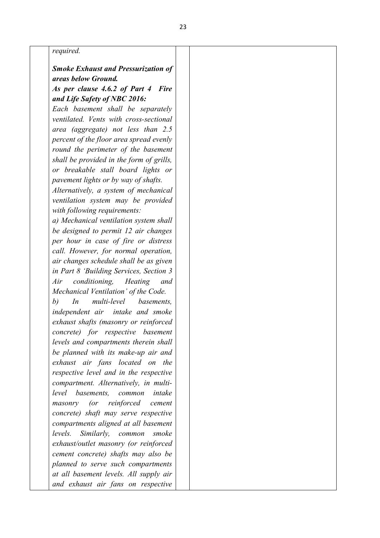#### *required.*

## *Smoke Exhaust and Pressurization of areas below Ground.*

## *As per clause 4.6.2 of Part 4 Fire and Life Safety of NBC 2016:*

*Each basement shall be separately ventilated. Vents with cross-sectional area (aggregate) not less than 2.5 percent of the floor area spread evenly round the perimeter of the basement shall be provided in the form of grills, or breakable stall board lights or pavement lights or by way of shafts. Alternatively, a system of mechanical ventilation system may be provided with following requirements: a) Mechanical ventilation system shall be designed to permit 12 air changes per hour in case of fire or distress call. However, for normal operation, air changes schedule shall be as given in Part 8 'Building Services, Section 3 Air conditioning, Heating and Mechanical Ventilation' of the Code. b) In multi-level basements, independent air intake and smoke exhaust shafts (masonry or reinforced concrete) for respective basement levels and compartments therein shall be planned with its make-up air and exhaust air fans located on the respective level and in the respective compartment. Alternatively, in multilevel basements, common intake masonry (or reinforced cement concrete) shaft may serve respective compartments aligned at all basement levels. Similarly, common smoke exhaust/outlet masonry (or reinforced cement concrete) shafts may also be planned to serve such compartments at all basement levels. All supply air and exhaust air fans on respective*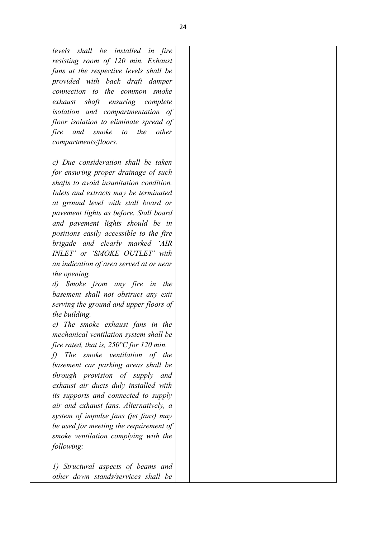*levels shall be installed in fire resisting room of 120 min. Exhaust fans at the respective levels shall be provided with back draft damper connection to the common smoke exhaust shaft ensuring complete isolation and compartmentation of floor isolation to eliminate spread of fire and smoke to the other compartments/floors. c) Due consideration shall be taken* 

*for ensuring proper drainage of such shafts to avoid insanitation condition. Inlets and extracts may be terminated at ground level with stall board or pavement lights as before. Stall board and pavement lights should be in positions easily accessible to the fire brigade and clearly marked 'AIR INLET' or 'SMOKE OUTLET' with an indication of area served at or near the opening.* 

*d) Smoke from any fire in the basement shall not obstruct any exit serving the ground and upper floors of the building.* 

*e) The smoke exhaust fans in the mechanical ventilation system shall be fire rated, that is, 250°C for 120 min.* 

*f) The smoke ventilation of the basement car parking areas shall be through provision of supply and exhaust air ducts duly installed with its supports and connected to supply air and exhaust fans. Alternatively, a system of impulse fans (jet fans) may be used for meeting the requirement of smoke ventilation complying with the following:* 

*1) Structural aspects of beams and other down stands/services shall be*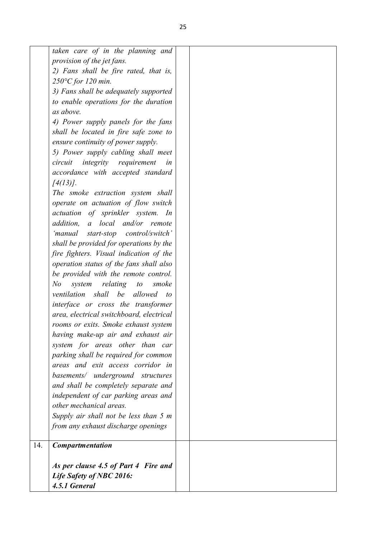|     | taken care of in the planning and                 |  |
|-----|---------------------------------------------------|--|
|     | provision of the jet fans.                        |  |
|     | 2) Fans shall be fire rated, that is,             |  |
|     | $250^{\circ}$ C for 120 min.                      |  |
|     | 3) Fans shall be adequately supported             |  |
|     | to enable operations for the duration             |  |
|     | as above.                                         |  |
|     | 4) Power supply panels for the fans               |  |
|     | shall be located in fire safe zone to             |  |
|     | ensure continuity of power supply.                |  |
|     | 5) Power supply cabling shall meet                |  |
|     | integrity requirement<br>circuit<br>in            |  |
|     | accordance with accepted standard                 |  |
|     | $[4(13)]$ .                                       |  |
|     | The smoke extraction system shall                 |  |
|     | operate on actuation of flow switch               |  |
|     | actuation of sprinkler system. In                 |  |
|     | a local and/or remote<br>addition,                |  |
|     | start-stop control/switch'<br>'manual             |  |
|     | shall be provided for operations by the           |  |
|     | fire fighters. Visual indication of the           |  |
|     | operation status of the fans shall also           |  |
|     | be provided with the remote control.              |  |
|     | relating to<br>No<br>system<br>smoke              |  |
|     | ventilation shall be allowed<br>$\boldsymbol{to}$ |  |
|     | interface or cross the transformer                |  |
|     | area, electrical switchboard, electrical          |  |
|     | rooms or exits. Smoke exhaust system              |  |
|     | having make-up air and exhaust air                |  |
|     | system for areas other than car                   |  |
|     | parking shall be required for common              |  |
|     | areas and exit access corridor in                 |  |
|     | basements/ underground structures                 |  |
|     | and shall be completely separate and              |  |
|     | independent of car parking areas and              |  |
|     | other mechanical areas.                           |  |
|     | Supply air shall not be less than 5 m             |  |
|     | from any exhaust discharge openings               |  |
|     |                                                   |  |
| 14. | <b>Compartmentation</b>                           |  |
|     | As per clause 4.5 of Part 4 Fire and              |  |
|     | Life Safety of NBC 2016:                          |  |
|     | 4.5.1 General                                     |  |
|     |                                                   |  |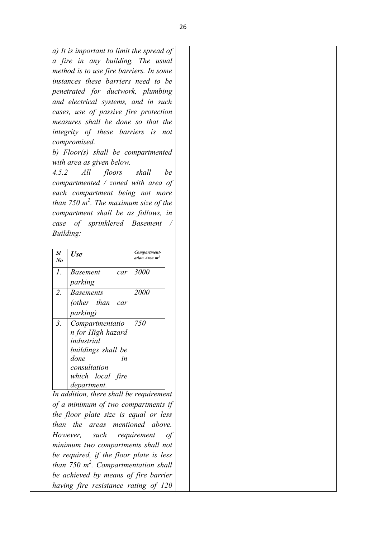*a) It is important to limit the spread of a fire in any building. The usual method is to use fire barriers. In some instances these barriers need to be penetrated for ductwork, plumbing and electrical systems, and in such cases, use of passive fire protection measures shall be done so that the integrity of these barriers is not compromised.* 

*b) Floor(s) shall be compartmented with area as given below.* 

*4.5.2 All floors shall be compartmented / zoned with area of each compartment being not more than 750 m<sup>2</sup> . The maximum size of the compartment shall be as follows, in case of sprinklered Basement / Building:*

| Sl<br>No         | <b>Use</b>             | Compartment-<br>ation Area m <sup>2</sup> |
|------------------|------------------------|-------------------------------------------|
| 1.               | <b>Basement</b><br>car | <i>3000</i>                               |
|                  | parking                |                                           |
| 2.               | <i>Basements</i>       | 2000                                      |
|                  | (other than<br>car     |                                           |
|                  | <i>parking</i> )       |                                           |
| $\mathfrak{Z}$ . | Compartmentatio        | 750                                       |
|                  | n for High hazard      |                                           |
|                  | industrial             |                                           |
|                  | buildings shall be     |                                           |
|                  | done<br>in             |                                           |
|                  | consultation           |                                           |
|                  | which local fire       |                                           |
|                  | department.            |                                           |

*of a minimum of two compartments if the floor plate size is equal or less than the areas mentioned above. However, such requirement of minimum two compartments shall not be required, if the floor plate is less than 750 m<sup>2</sup> . Compartmentation shall be achieved by means of fire barrier having fire resistance rating of 120*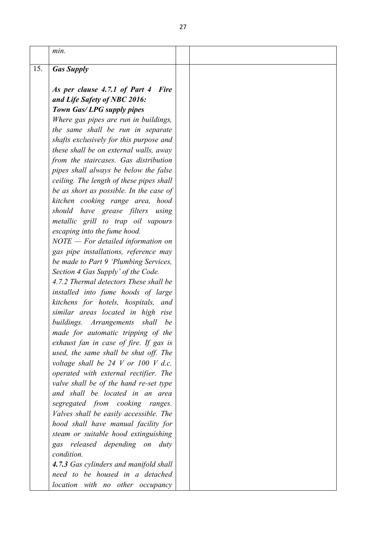|     | min.                                         |  |
|-----|----------------------------------------------|--|
| 15. | <b>Gas Supply</b>                            |  |
|     |                                              |  |
|     | As per clause 4.7.1 of Part 4<br><b>Fire</b> |  |
|     | and Life Safety of NBC 2016:                 |  |
|     | Town Gas/LPG supply pipes                    |  |
|     | Where gas pipes are run in buildings,        |  |
|     | the same shall be run in separate            |  |
|     | shafts exclusively for this purpose and      |  |
|     | these shall be on external walls, away       |  |
|     | from the staircases. Gas distribution        |  |
|     | pipes shall always be below the false        |  |
|     | ceiling. The length of these pipes shall     |  |
|     | be as short as possible. In the case of      |  |
|     | kitchen cooking range area, hood             |  |
|     | should have grease filters<br>using          |  |
|     | metallic grill to trap oil vapours           |  |
|     | escaping into the fume hood.                 |  |
|     | $NOTE - For detailed information on$         |  |
|     | gas pipe installations, reference may        |  |
|     | be made to Part 9 'Plumbing Services,        |  |
|     | Section 4 Gas Supply' of the Code.           |  |
|     | 4.7.2 Thermal detectors These shall be       |  |
|     | installed into fume hoods of large           |  |
|     | kitchens for hotels, hospitals, and          |  |
|     | similar areas located in high rise           |  |
|     | buildings. Arrangements shall be             |  |
|     | made for automatic tripping of the           |  |
|     | exhaust fan in case of fire. If gas is       |  |
|     | used, the same shall be shut off. The        |  |
|     | voltage shall be $24$ V or 100 V d.c.        |  |
|     | operated with external rectifier. The        |  |
|     | valve shall be of the hand re-set type       |  |
|     | and shall be located in an area              |  |
|     | segregated from cooking ranges.              |  |
|     | Valves shall be easily accessible. The       |  |
|     | hood shall have manual facility for          |  |
|     | steam or suitable hood extinguishing         |  |
|     | gas released depending on duty               |  |
|     | condition.                                   |  |
|     | 4.7.3 Gas cylinders and manifold shall       |  |
|     | need to be housed in a detached              |  |
|     | location with no other occupancy             |  |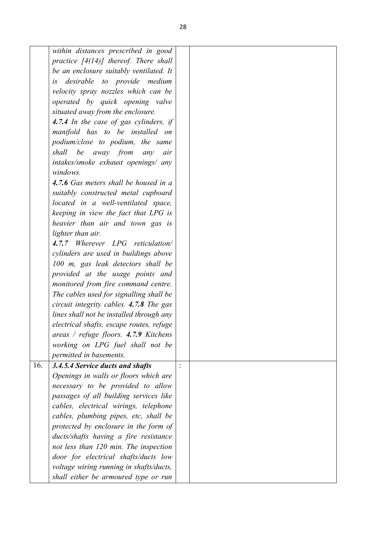|     | within distances prescribed in good      |  |
|-----|------------------------------------------|--|
|     | practice $[4(14)]$ thereof. There shall  |  |
|     | be an enclosure suitably ventilated. It  |  |
|     | is desirable to provide medium           |  |
|     | velocity spray nozzles which can be      |  |
|     | operated by quick opening valve          |  |
|     | situated away from the enclosure.        |  |
|     | 4.7.4 In the case of gas cylinders, if   |  |
|     | manifold has to be installed on          |  |
|     | podium/close to podium, the same         |  |
|     | shall be away from any<br>air            |  |
|     | intakes/smoke exhaust openings/ any      |  |
|     | windows.                                 |  |
|     | 4.7.6 Gas meters shall be housed in a    |  |
|     |                                          |  |
|     | suitably constructed metal cupboard      |  |
|     | located in a well-ventilated space,      |  |
|     | keeping in view the fact that LPG is     |  |
|     | heavier than air and town gas is         |  |
|     | lighter than air.                        |  |
|     | 4.7.7 Wherever LPG reticulation/         |  |
|     | cylinders are used in buildings above    |  |
|     | 100 m, gas leak detectors shall be       |  |
|     | provided at the usage points and         |  |
|     | monitored from fire command centre.      |  |
|     | The cables used for signalling shall be  |  |
|     | circuit integrity cables. 4.7.8 The gas  |  |
|     | lines shall not be installed through any |  |
|     | electrical shafts, escape routes, refuge |  |
|     | areas / refuge floors. $4.7.9$ Kitchens  |  |
|     | working on LPG fuel shall not be         |  |
|     | permitted in basements.                  |  |
| 16. | 3.4.5.4 Service ducts and shafts         |  |
|     | Openings in walls or floors which are    |  |
|     | necessary to be provided to allow        |  |
|     | passages of all building services like   |  |
|     | cables, electrical wirings, telephone    |  |
|     | cables, plumbing pipes, etc, shall be    |  |
|     | protected by enclosure in the form of    |  |
|     | ducts/shafts having a fire resistance    |  |
|     | not less than 120 min. The inspection    |  |
|     | door for electrical shafts/ducts low     |  |
|     | voltage wiring running in shafts/ducts,  |  |
|     | shall either be armoured type or run     |  |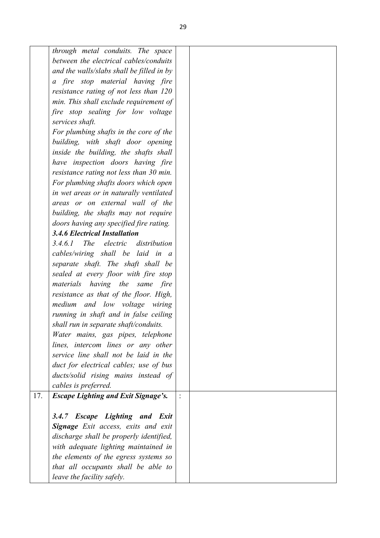|     | through metal conduits. The space          |  |
|-----|--------------------------------------------|--|
|     | between the electrical cables/conduits     |  |
|     | and the walls/slabs shall be filled in by  |  |
|     | a fire stop material having fire           |  |
|     | resistance rating of not less than 120     |  |
|     | min. This shall exclude requirement of     |  |
|     | fire stop sealing for low voltage          |  |
|     | services shaft.                            |  |
|     | For plumbing shafts in the core of the     |  |
|     | building, with shaft door opening          |  |
|     | inside the building, the shafts shall      |  |
|     | have inspection doors having fire          |  |
|     | resistance rating not less than 30 min.    |  |
|     | For plumbing shafts doors which open       |  |
|     | in wet areas or in naturally ventilated    |  |
|     | areas or on external wall of the           |  |
|     | building, the shafts may not require       |  |
|     | doors having any specified fire rating.    |  |
|     | <b>3.4.6 Electrical Installation</b>       |  |
|     | The electric distribution<br>3.4.6.1       |  |
|     | cables/wiring shall be laid in a           |  |
|     | separate shaft. The shaft shall be         |  |
|     | sealed at every floor with fire stop       |  |
|     | materials having the same<br>fire          |  |
|     | resistance as that of the floor. High,     |  |
|     | medium<br>and low voltage<br>wiring        |  |
|     | running in shaft and in false ceiling      |  |
|     | shall run in separate shaft/conduits.      |  |
|     | Water mains, gas pipes, telephone          |  |
|     | lines, intercom lines or any other         |  |
|     | service line shall not be laid in the      |  |
|     | duct for electrical cables; use of bus     |  |
|     | ducts/solid rising mains instead of        |  |
|     | cables is preferred.                       |  |
| 17. | <b>Escape Lighting and Exit Signage's.</b> |  |
|     |                                            |  |
|     | 3.4.7 Escape Lighting and Exit             |  |
|     | <b>Signage</b> Exit access, exits and exit |  |
|     | discharge shall be properly identified,    |  |
|     | with adequate lighting maintained in       |  |
|     | the elements of the egress systems so      |  |
|     | that all occupants shall be able to        |  |
|     | leave the facility safely.                 |  |
|     |                                            |  |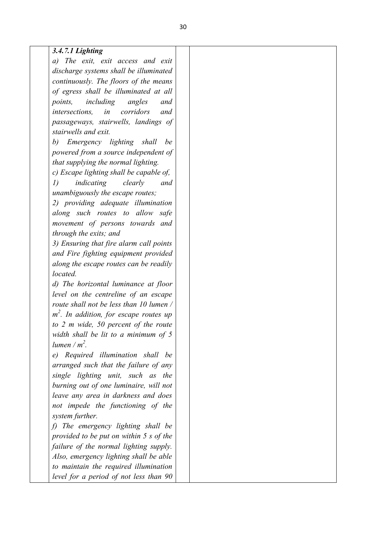### *3.4.7.1 Lighting*

*a) The exit, exit access and exit discharge systems shall be illuminated continuously. The floors of the means of egress shall be illuminated at all points, including angles and intersections, in corridors and passageways, stairwells, landings of stairwells and exit.*

*b) Emergency lighting shall be powered from a source independent of that supplying the normal lighting.*

*c) Escape lighting shall be capable of,*

*1) indicating clearly and unambiguously the escape routes;*

*2) providing adequate illumination along such routes to allow safe movement of persons towards and through the exits; and*

*3) Ensuring that fire alarm call points and Fire fighting equipment provided along the escape routes can be readily located.*

*d) The horizontal luminance at floor level on the centreline of an escape route shall not be less than 10 lumen / m 2 . In addition, for escape routes up to 2 m wide, 50 percent of the route width shall be lit to a minimum of 5 lumen / m<sup>2</sup> .*

*e) Required illumination shall be arranged such that the failure of any single lighting unit, such as the burning out of one luminaire, will not leave any area in darkness and does not impede the functioning of the system further.*

*f) The emergency lighting shall be provided to be put on within 5 s of the failure of the normal lighting supply. Also, emergency lighting shall be able to maintain the required illumination level for a period of not less than 90*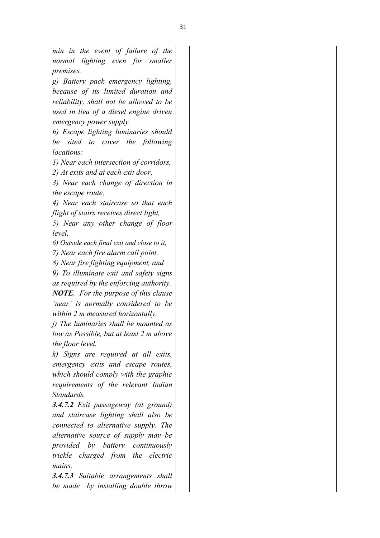|                   | min in the event of failure of the                                        |  |
|-------------------|---------------------------------------------------------------------------|--|
|                   | normal lighting even for smaller                                          |  |
| premises.         |                                                                           |  |
|                   | g) Battery pack emergency lighting,                                       |  |
|                   | because of its limited duration and                                       |  |
|                   | reliability, shall not be allowed to be                                   |  |
|                   | used in lieu of a diesel engine driven                                    |  |
|                   | emergency power supply.                                                   |  |
|                   | h) Escape lighting luminaries should                                      |  |
|                   | be sited to cover the following                                           |  |
| locations:        |                                                                           |  |
|                   | 1) Near each intersection of corridors,                                   |  |
|                   | 2) At exits and at each exit door,                                        |  |
|                   | 3) Near each change of direction in                                       |  |
| the escape route, |                                                                           |  |
|                   | 4) Near each staircase so that each                                       |  |
|                   | flight of stairs receives direct light,                                   |  |
|                   | 5) Near any other change of floor                                         |  |
| level,            |                                                                           |  |
|                   | 6) Outside each final exit and close to it,                               |  |
|                   | 7) Near each fire alarm call point,                                       |  |
|                   | 8) Near fire fighting equipment, and                                      |  |
|                   | 9) To illuminate exit and safety signs                                    |  |
|                   | as required by the enforcing authority.                                   |  |
|                   | <b>NOTE.</b> For the purpose of this clause                               |  |
|                   | 'near' is normally considered to be                                       |  |
|                   | within 2 m measured horizontally.                                         |  |
|                   | <i>i</i> ) The luminaries shall be mounted as                             |  |
|                   | low as Possible, but at least 2 m above                                   |  |
| the floor level.  |                                                                           |  |
|                   | k) Signs are required at all exits,                                       |  |
|                   | emergency exits and escape routes,                                        |  |
|                   | which should comply with the graphic                                      |  |
|                   | requirements of the relevant Indian                                       |  |
| Standards.        |                                                                           |  |
|                   | 3.4.7.2 Exit passageway (at ground)                                       |  |
|                   | and staircase lighting shall also be                                      |  |
|                   | connected to alternative supply. The                                      |  |
|                   | alternative source of supply may be                                       |  |
|                   | provided by battery continuously                                          |  |
|                   | trickle charged from the electric                                         |  |
| mains.            |                                                                           |  |
|                   |                                                                           |  |
|                   |                                                                           |  |
|                   | 3.4.7.3 Suitable arrangements shall<br>be made by installing double throw |  |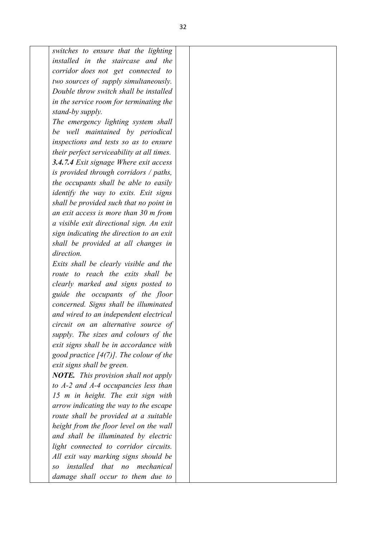*switches to ensure that the lighting installed in the staircase and the corridor does not get connected to two sources of supply simultaneously. Double throw switch shall be installed in the service room for terminating the stand-by supply.*

*The emergency lighting system shall be well maintained by periodical inspections and tests so as to ensure their perfect serviceability at all times. 3.4.7.4 Exit signage Where exit access is provided through corridors / paths, the occupants shall be able to easily identify the way to exits. Exit signs shall be provided such that no point in an exit access is more than 30 m from a visible exit directional sign. An exit sign indicating the direction to an exit shall be provided at all changes in direction.*

*Exits shall be clearly visible and the route to reach the exits shall be clearly marked and signs posted to guide the occupants of the floor concerned. Signs shall be illuminated and wired to an independent electrical circuit on an alternative source of supply. The sizes and colours of the exit signs shall be in accordance with good practice [4(7)]. The colour of the exit signs shall be green.*

*NOTE. This provision shall not apply to A-2 and A-4 occupancies less than 15 m in height. The exit sign with arrow indicating the way to the escape route shall be provided at a suitable height from the floor level on the wall and shall be illuminated by electric light connected to corridor circuits. All exit way marking signs should be so installed that no mechanical damage shall occur to them due to*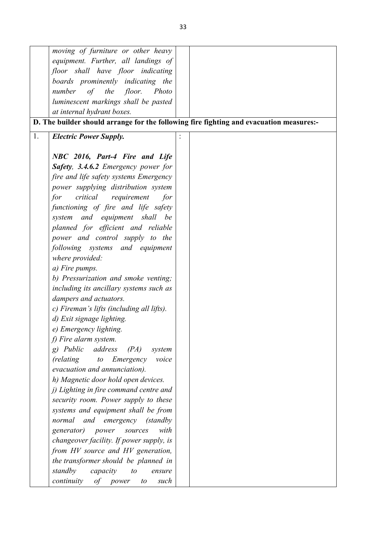|    | moving of furniture or other heavy              |                                                                                         |
|----|-------------------------------------------------|-----------------------------------------------------------------------------------------|
|    | equipment. Further, all landings of             |                                                                                         |
|    | floor shall have floor indicating               |                                                                                         |
|    | boards prominently indicating the               |                                                                                         |
|    | of the<br>number<br>floor.<br>Photo             |                                                                                         |
|    | luminescent markings shall be pasted            |                                                                                         |
|    | at internal hydrant boxes.                      |                                                                                         |
|    |                                                 |                                                                                         |
|    |                                                 | D. The builder should arrange for the following fire fighting and evacuation measures:- |
| 1. | <b>Electric Power Supply.</b>                   |                                                                                         |
|    |                                                 |                                                                                         |
|    | NBC 2016, Part-4 Fire and Life                  |                                                                                         |
|    | <b>Safety, 3.4.6.2</b> Emergency power for      |                                                                                         |
|    | fire and life safety systems Emergency          |                                                                                         |
|    | power supplying distribution system             |                                                                                         |
|    | critical requirement<br>for<br>for              |                                                                                         |
|    | functioning of fire and life safety             |                                                                                         |
|    | system and equipment shall be                   |                                                                                         |
|    | planned for efficient and reliable              |                                                                                         |
|    | power and control supply to the                 |                                                                                         |
|    | following systems and equipment                 |                                                                                         |
|    | where provided:                                 |                                                                                         |
|    | a) Fire pumps.                                  |                                                                                         |
|    | b) Pressurization and smoke venting;            |                                                                                         |
|    | including its ancillary systems such as         |                                                                                         |
|    | dampers and actuators.                          |                                                                                         |
|    | c) Fireman's lifts (including all lifts).       |                                                                                         |
|    | d) Exit signage lighting.                       |                                                                                         |
|    | e) Emergency lighting.                          |                                                                                         |
|    | f) Fire alarm system.                           |                                                                                         |
|    | $g)$ <i>Public</i><br>address<br>(PA)<br>system |                                                                                         |
|    | Emergency<br>(relating<br>voice<br>$\iota$      |                                                                                         |
|    | evacuation and annunciation).                   |                                                                                         |
|    | h) Magnetic door hold open devices.             |                                                                                         |
|    | j) Lighting in fire command centre and          |                                                                                         |
|    | security room. Power supply to these            |                                                                                         |
|    | systems and equipment shall be from             |                                                                                         |
|    | and emergency (standby<br>normal                |                                                                                         |
|    | generator)<br>power<br>with<br>sources          |                                                                                         |
|    | changeover facility. If power supply, is        |                                                                                         |
|    | from HV source and HV generation,               |                                                                                         |
|    | the transformer should be planned in            |                                                                                         |
|    | standby<br>capacity<br>$\iota$<br>ensure        |                                                                                         |
|    | of power<br>continuity<br>such<br>to            |                                                                                         |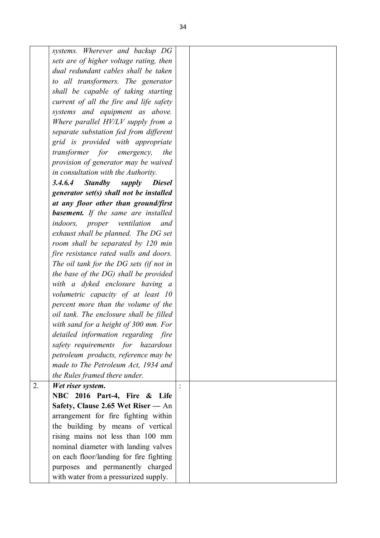| systems. Wherever and backup DG                      |                |
|------------------------------------------------------|----------------|
| sets are of higher voltage rating, then              |                |
| dual redundant cables shall be taken                 |                |
| to all transformers. The generator                   |                |
| shall be capable of taking starting                  |                |
| current of all the fire and life safety              |                |
| systems and equipment as above.                      |                |
| Where parallel HV/LV supply from a                   |                |
| separate substation fed from different               |                |
| grid is provided with appropriate                    |                |
| transformer for emergency,<br>the                    |                |
| provision of generator may be waived                 |                |
| in consultation with the Authority.                  |                |
| <b>Standby</b><br>3.4.6.4<br><b>Diesel</b><br>supply |                |
| generator set(s) shall not be installed              |                |
| at any floor other than ground/first                 |                |
| <b>basement.</b> If the same are installed           |                |
| <i>indoors,</i><br>ventilation<br>proper<br>and      |                |
| exhaust shall be planned. The DG set                 |                |
| room shall be separated by 120 min                   |                |
| fire resistance rated walls and doors.               |                |
| The oil tank for the DG sets (if not in              |                |
| the base of the DG) shall be provided                |                |
| with a dyked enclosure having a                      |                |
| volumetric capacity of at least 10                   |                |
| percent more than the volume of the                  |                |
| oil tank. The enclosure shall be filled              |                |
| with sand for a height of 300 mm. For                |                |
| detailed information regarding fire                  |                |
| safety requirements for hazardous                    |                |
| petroleum products, reference may be                 |                |
| made to The Petroleum Act, 1934 and                  |                |
| the Rules framed there under.                        |                |
| 2.<br>Wet riser system.                              | $\ddot{\cdot}$ |
| NBC 2016 Part-4, Fire & Life                         |                |
| Safety, Clause 2.65 Wet Riser - An                   |                |
| arrangement for fire fighting within                 |                |
| the building by means of vertical                    |                |
| rising mains not less than 100 mm                    |                |
| nominal diameter with landing valves                 |                |
| on each floor/landing for fire fighting              |                |
| purposes and permanently charged                     |                |
| with water from a pressurized supply.                |                |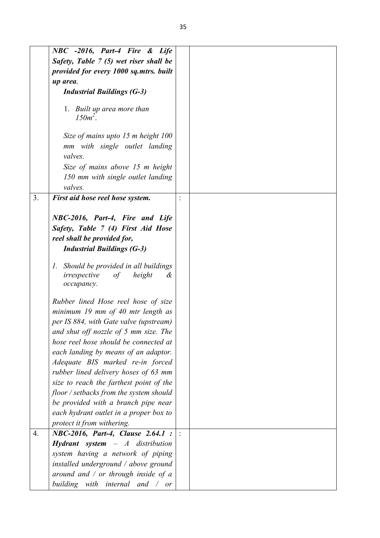|    | NBC -2016, Part-4 Fire & Life                                                                                                             |  |
|----|-------------------------------------------------------------------------------------------------------------------------------------------|--|
|    | Safety, Table 7 (5) wet riser shall be                                                                                                    |  |
|    | provided for every 1000 sq.mtrs. built                                                                                                    |  |
|    | up area,                                                                                                                                  |  |
|    | <b>Industrial Buildings (G-3)</b>                                                                                                         |  |
|    | 1. Built up area more than<br>$150m^2$ .                                                                                                  |  |
|    | Size of mains upto 15 m height 100<br>mm with single outlet landing<br>valves.                                                            |  |
|    | Size of mains above 15 m height<br>150 mm with single outlet landing                                                                      |  |
|    | valves.                                                                                                                                   |  |
| 3. | First aid hose reel hose system.                                                                                                          |  |
|    | NBC-2016, Part-4, Fire and Life<br>Safety, Table 7 (4) First Aid Hose<br>reel shall be provided for,<br><b>Industrial Buildings (G-3)</b> |  |
|    | 1. Should be provided in all buildings<br>irrespective<br>height<br>of<br>&<br>оссирапсу.                                                 |  |
|    | Rubber lined Hose reel hose of size                                                                                                       |  |
|    | minimum 19 mm of 40 mtr length as                                                                                                         |  |
|    | per IS 884, with Gate valve (upstream)                                                                                                    |  |
|    | and shut off nozzle of 5 mm size. The                                                                                                     |  |
|    | hose reel hose should be connected at                                                                                                     |  |
|    | each landing by means of an adaptor.                                                                                                      |  |
|    | Adequate BIS marked re-in forced                                                                                                          |  |
|    | rubber lined delivery hoses of 63 mm                                                                                                      |  |
|    | size to reach the farthest point of the                                                                                                   |  |
|    | floor / setbacks from the system should                                                                                                   |  |
|    | be provided with a branch pipe near                                                                                                       |  |
|    | each hydrant outlet in a proper box to                                                                                                    |  |
|    | protect it from withering.                                                                                                                |  |
| 4. | NBC-2016, Part-4, Clause 2.64.1 :                                                                                                         |  |
|    | <b>Hydrant</b> system $-A$ distribution                                                                                                   |  |
|    | system having a network of piping                                                                                                         |  |
|    | installed underground / above ground                                                                                                      |  |
|    | around and $\ell$ or through inside of a                                                                                                  |  |
|    | building with internal and $\sqrt{or}$                                                                                                    |  |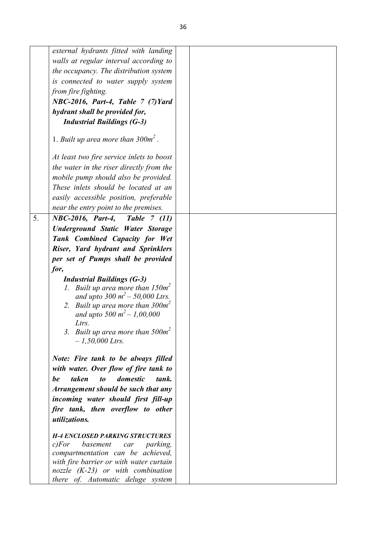|    | external hydrants fitted with landing                                                   |  |
|----|-----------------------------------------------------------------------------------------|--|
|    | walls at regular interval according to                                                  |  |
|    | the occupancy. The distribution system                                                  |  |
|    | is connected to water supply system                                                     |  |
|    | from fire fighting.                                                                     |  |
|    | NBC-2016, Part-4, Table 7 (7) Yard                                                      |  |
|    | hydrant shall be provided for,                                                          |  |
|    | <b>Industrial Buildings (G-3)</b>                                                       |  |
|    | 1. Built up area more than $300m^2$ .                                                   |  |
|    | At least two fire service inlets to boost                                               |  |
|    | the water in the riser directly from the                                                |  |
|    | mobile pump should also be provided.                                                    |  |
|    | These inlets should be located at an                                                    |  |
|    | easily accessible position, preferable                                                  |  |
|    | near the entry point to the premises.                                                   |  |
| 5. | NBC-2016, Part-4, Table 7 (11)                                                          |  |
|    | <b>Underground Static Water Storage</b>                                                 |  |
|    | Tank Combined Capacity for Wet                                                          |  |
|    | Riser, Yard hydrant and Sprinklers                                                      |  |
|    | per set of Pumps shall be provided                                                      |  |
|    | for,                                                                                    |  |
|    | <b>Industrial Buildings (G-3)</b>                                                       |  |
|    | 1. Built up area more than $150m^2$                                                     |  |
|    | and upto 300 $m^2$ – 50,000 Ltrs.                                                       |  |
|    | 2. Built up area more than $300m^2$                                                     |  |
|    | and upto 500 $m^2$ – 1,00,000                                                           |  |
|    | Ltrs.<br>3. Built up area more than $500m^2$                                            |  |
|    | $-1,50,000$ Ltrs.                                                                       |  |
|    |                                                                                         |  |
|    | Note: Fire tank to be always filled                                                     |  |
|    | with water. Over flow of fire tank to                                                   |  |
|    | domestic<br>be<br>taken<br>tank.<br>$\boldsymbol{\mathit{to}}$                          |  |
|    | Arrangement should be such that any                                                     |  |
|    | incoming water should first fill-up                                                     |  |
|    | fire tank, then overflow to other                                                       |  |
|    | utilizations.                                                                           |  |
|    |                                                                                         |  |
|    | <b>H-4 ENCLOSED PARKING STRUCTURES</b><br>c) For<br>basement<br><i>parking</i> ,<br>car |  |
|    | compartmentation can be achieved,                                                       |  |
|    | with fire barrier or with water curtain                                                 |  |
|    | nozzle $(K-23)$ or with combination                                                     |  |
|    | there of. Automatic deluge system                                                       |  |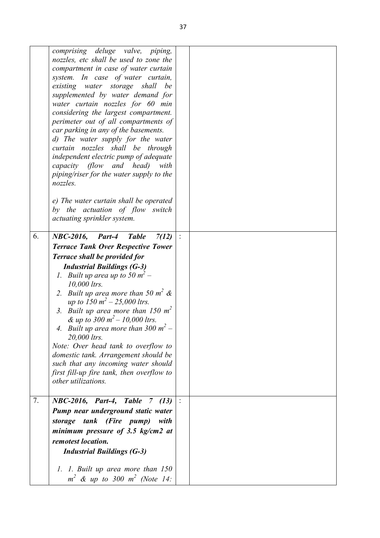|    | comprising deluge valve, piping,<br>nozzles, etc shall be used to zone the<br>compartment in case of water curtain<br>system. In case of water curtain,<br>existing water storage shall<br>be<br>supplemented by water demand for<br>water curtain nozzles for 60 min<br>considering the largest compartment.<br>perimeter out of all compartments of<br>car parking in any of the basements.<br>d) The water supply for the water<br>curtain nozzles shall be through<br>independent electric pump of adequate<br>capacity (flow and head) with<br>piping/riser for the water supply to the                                         |                |  |
|----|--------------------------------------------------------------------------------------------------------------------------------------------------------------------------------------------------------------------------------------------------------------------------------------------------------------------------------------------------------------------------------------------------------------------------------------------------------------------------------------------------------------------------------------------------------------------------------------------------------------------------------------|----------------|--|
|    | nozzles.<br>e) The water curtain shall be operated<br>by the actuation of flow switch<br>actuating sprinkler system.                                                                                                                                                                                                                                                                                                                                                                                                                                                                                                                 |                |  |
| 6. | NBC-2016,<br><b>Table</b><br>7(12)<br>Part-4<br><b>Terrace Tank Over Respective Tower</b><br><b>Terrace shall be provided for</b><br><b>Industrial Buildings (G-3)</b><br>1. Built up area up to 50 $m2$ –<br>10,000 ltrs.<br>2. Built up area more than 50 $m^2$ &<br>up to 150 $m^2 - 25,000$ ltrs.<br>3. Built up area more than 150 $m2$<br>& up to 300 $m^2$ – 10,000 ltrs.<br>4. Built up area more than 300 $m^2$ –<br>20,000 ltrs.<br>Note: Over head tank to overflow to<br>domestic tank. Arrangement should be<br>such that any incoming water should<br>first fill-up fire tank, then overflow to<br>other utilizations. | $\ddot{\cdot}$ |  |
| 7. | NBC-2016, Part-4, Table<br>7 $(13)$<br>Pump near underground static water<br>storage tank (Fire pump)<br>with<br>minimum pressure of 3.5 $kg/cm2$ at<br>remotest location.<br><b>Industrial Buildings (G-3)</b><br>1. 1. Built up area more than 150<br>$m^2$ & up to 300 $m^2$ (Note 14:                                                                                                                                                                                                                                                                                                                                            |                |  |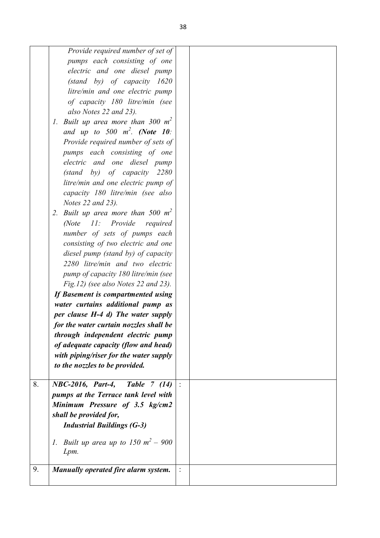|    | Provide required number of set of               |  |
|----|-------------------------------------------------|--|
|    | pumps each consisting of one                    |  |
|    | electric and one diesel pump                    |  |
|    | $(statody)$ of capacity $1620$                  |  |
|    | litre/min and one electric pump                 |  |
|    | of capacity 180 litre/min (see                  |  |
|    | also Notes 22 and 23).                          |  |
|    | 1. Built up area more than 300 $m^2$            |  |
|    | and up to 500 $m^2$ . (Note 10:                 |  |
|    | Provide required number of sets of              |  |
|    | pumps each consisting of one                    |  |
|    | electric and one diesel pump                    |  |
|    | $(stat$ by) of capacity 2280                    |  |
|    | litre/min and one electric pump of              |  |
|    | capacity 180 litre/min (see also                |  |
|    | Notes 22 and 23).                               |  |
|    | 2. Built up area more than 500 $m2$             |  |
|    | 11: Provide required<br>$\textit{Note}$         |  |
|    | number of sets of pumps each                    |  |
|    | consisting of two electric and one              |  |
|    | diesel pump (stand by) of capacity              |  |
|    |                                                 |  |
|    | 2280 litre/min and two electric                 |  |
|    | pump of capacity 180 litre/min (see             |  |
|    | Fig.12) (see also Notes 22 and 23).             |  |
|    | If Basement is compartmented using              |  |
|    | water curtains additional pump as               |  |
|    | per clause H-4 d) The water supply              |  |
|    | for the water curtain nozzles shall be          |  |
|    | through independent electric pump               |  |
|    | of adequate capacity (flow and head)            |  |
|    | with piping/riser for the water supply          |  |
|    | to the nozzles to be provided.                  |  |
|    |                                                 |  |
| 8. | <b>Table 7 (14)</b><br><b>NBC-2016, Part-4,</b> |  |
|    | pumps at the Terrace tank level with            |  |
|    | Minimum Pressure of 3.5 kg/cm2                  |  |
|    | shall be provided for,                          |  |
|    | <b>Industrial Buildings (G-3)</b>               |  |
|    |                                                 |  |
|    | 1. Built up area up to 150 $m^2 - 900$          |  |
|    | Lpm.                                            |  |
|    |                                                 |  |
| 9. | Manually operated fire alarm system.            |  |
|    |                                                 |  |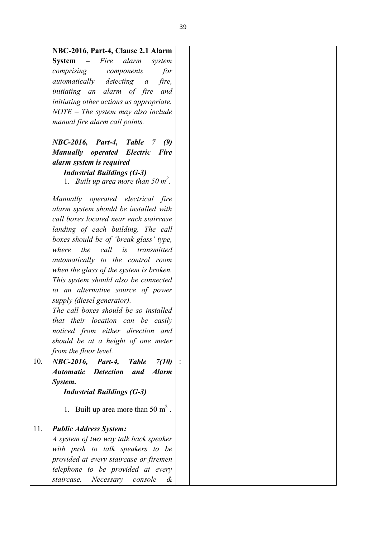|     | NBC-2016, Part-4, Clause 2.1 Alarm                          |  |
|-----|-------------------------------------------------------------|--|
|     | <b>System</b><br>– Fire alarm<br>system                     |  |
|     | comprising components<br>for                                |  |
|     | automatically<br>detecting a<br>fire,                       |  |
|     | initiating an alarm of fire<br>and                          |  |
|     | initiating other actions as appropriate.                    |  |
|     | $NOTE$ – The system may also include                        |  |
|     | manual fire alarm call points.                              |  |
|     | NBC-2016, Part-4, Table<br>(9)<br>7                         |  |
|     | <b>Manually operated Electric Fire</b>                      |  |
|     | alarm system is required                                    |  |
|     | <b>Industrial Buildings (G-3)</b>                           |  |
|     | 1. Built up area more than 50 $m^2$ .                       |  |
|     |                                                             |  |
|     | Manually operated electrical fire                           |  |
|     | alarm system should be installed with                       |  |
|     | call boxes located near each staircase                      |  |
|     | landing of each building. The call                          |  |
|     | boxes should be of 'break glass' type,                      |  |
|     | the<br>call is<br>where<br>transmitted                      |  |
|     | automatically to the control room                           |  |
|     | when the glass of the system is broken.                     |  |
|     | This system should also be connected                        |  |
|     | to an alternative source of power                           |  |
|     | supply (diesel generator).                                  |  |
|     | The call boxes should be so installed                       |  |
|     | that their location can be easily                           |  |
|     | noticed from either direction and                           |  |
|     | should be at a height of one meter                          |  |
|     | from the floor level.                                       |  |
| 10. | $NBC-2016$ ,<br><b>Table</b><br>7(10)<br>Part-4,            |  |
|     | <b>Automatic</b><br><b>Detection</b><br>and<br><b>Alarm</b> |  |
|     | System.                                                     |  |
|     | <b>Industrial Buildings (G-3)</b>                           |  |
|     | 1. Built up area more than 50 $m2$ .                        |  |
|     |                                                             |  |
| 11. | <b>Public Address System:</b>                               |  |
|     | A system of two way talk back speaker                       |  |
|     | with push to talk speakers to be                            |  |
|     | provided at every staircase or firemen                      |  |
|     | telephone to be provided at every                           |  |
|     | Necessary<br>staircase.<br>console<br>&                     |  |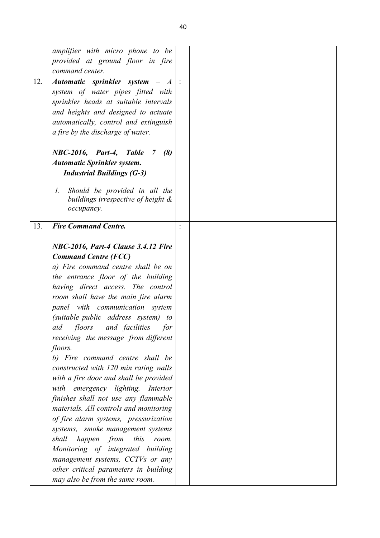|     | amplifier with micro phone to be                 |  |
|-----|--------------------------------------------------|--|
|     | provided at ground floor in fire                 |  |
|     | command center.                                  |  |
| 12. | Automatic sprinkler system $- A$ :               |  |
|     | system of water pipes fitted with                |  |
|     |                                                  |  |
|     | sprinkler heads at suitable intervals            |  |
|     | and heights and designed to actuate              |  |
|     | automatically, control and extinguish            |  |
|     | a fire by the discharge of water.                |  |
|     |                                                  |  |
|     | NBC-2016, Part-4, Table<br>(8)<br>$\overline{7}$ |  |
|     | <b>Automatic Sprinkler system.</b>               |  |
|     | <b>Industrial Buildings (G-3)</b>                |  |
|     |                                                  |  |
|     | Should be provided in all the<br>$l_{\cdot}$     |  |
|     | buildings irrespective of height $\&$            |  |
|     | occupancy.                                       |  |
| 13. | <b>Fire Command Centre.</b>                      |  |
|     |                                                  |  |
|     |                                                  |  |
|     | NBC-2016, Part-4 Clause 3.4.12 Fire              |  |
|     | <b>Command Centre (FCC)</b>                      |  |
|     | a) Fire command centre shall be on               |  |
|     | the entrance floor of the building               |  |
|     | having direct access. The control                |  |
|     | room shall have the main fire alarm              |  |
|     | panel with communication system                  |  |
|     | (suitable public address system) to              |  |
|     | and facilities<br>aid floors<br>for              |  |
|     | receiving the message from different             |  |
|     | floors.                                          |  |
|     | b) Fire command centre shall be                  |  |
|     | constructed with 120 min rating walls            |  |
|     |                                                  |  |
|     | with a fire door and shall be provided           |  |
|     | with emergency lighting. Interior                |  |
|     | finishes shall not use any flammable             |  |
|     | materials. All controls and monitoring           |  |
|     | of fire alarm systems, pressurization            |  |
|     | systems, smoke management systems                |  |
|     | shall<br>happen from<br>this<br>room.            |  |
|     | Monitoring of integrated building                |  |
|     | management systems, CCTVs or any                 |  |
|     | other critical parameters in building            |  |
|     | may also be from the same room.                  |  |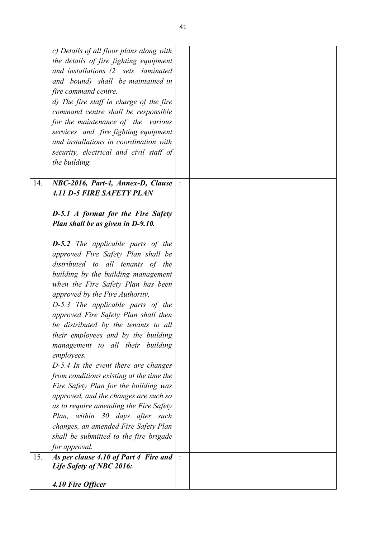|     | c) Details of all floor plans along with                          |  |
|-----|-------------------------------------------------------------------|--|
|     | the details of fire fighting equipment                            |  |
|     | and installations (2 sets laminated                               |  |
|     | and bound) shall be maintained in                                 |  |
|     | fire command centre.                                              |  |
|     | d) The fire staff in charge of the fire                           |  |
|     | command centre shall be responsible                               |  |
|     | for the maintenance of the various                                |  |
|     | services and fire fighting equipment                              |  |
|     | and installations in coordination with                            |  |
|     |                                                                   |  |
|     | security, electrical and civil staff of                           |  |
|     | the building.                                                     |  |
|     |                                                                   |  |
| 14. | NBC-2016, Part-4, Annex-D, Clause                                 |  |
|     | <b>4.11 D-5 FIRE SAFETY PLAN</b>                                  |  |
|     |                                                                   |  |
|     | <b>D-5.1</b> A format for the Fire Safety                         |  |
|     | Plan shall be as given in D-9.10.                                 |  |
|     |                                                                   |  |
|     | <b>D-5.2</b> The applicable parts of the                          |  |
|     | approved Fire Safety Plan shall be                                |  |
|     | distributed to all tenants of the                                 |  |
|     | building by the building management                               |  |
|     | when the Fire Safety Plan has been                                |  |
|     |                                                                   |  |
|     | approved by the Fire Authority.                                   |  |
|     | D-5.3 The applicable parts of the                                 |  |
|     | approved Fire Safety Plan shall then                              |  |
|     | be distributed by the tenants to all                              |  |
|     | their employees and by the building                               |  |
|     | management to all their building                                  |  |
|     | employees.                                                        |  |
|     | $D-5.4$ In the event there are changes                            |  |
|     | from conditions existing at the time the                          |  |
|     | Fire Safety Plan for the building was                             |  |
|     | approved, and the changes are such so                             |  |
|     | as to require amending the Fire Safety                            |  |
|     | Plan, within 30 days after such                                   |  |
|     | changes, an amended Fire Safety Plan                              |  |
|     | shall be submitted to the fire brigade                            |  |
|     | for approval.                                                     |  |
| 15. |                                                                   |  |
|     | As per clause 4.10 of Part 4 Fire and<br>Life Safety of NBC 2016: |  |
|     |                                                                   |  |
|     | 4.10 Fire Officer                                                 |  |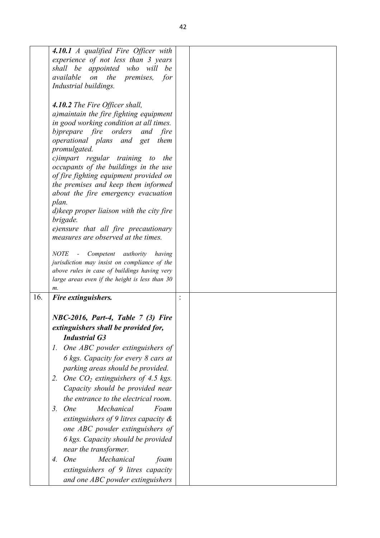|     | 4.10.1 A qualified Fire Officer with<br>experience of not less than 3 years<br>shall be appointed who will<br>be                                                                                                                                                                                                                                                                                                                                                                                                                                                            |  |
|-----|-----------------------------------------------------------------------------------------------------------------------------------------------------------------------------------------------------------------------------------------------------------------------------------------------------------------------------------------------------------------------------------------------------------------------------------------------------------------------------------------------------------------------------------------------------------------------------|--|
|     | available on<br>the premises,<br>for<br>Industrial buildings.                                                                                                                                                                                                                                                                                                                                                                                                                                                                                                               |  |
|     | 4.10.2 The Fire Officer shall,<br>a) maintain the fire fighting equipment<br>in good working condition at all times.<br>b) prepare fire orders<br>and<br>fire<br>operational plans and get<br>them<br>promulgated.<br>c)impart regular training to<br>the<br>occupants of the buildings in the use<br>of fire fighting equipment provided on<br>the premises and keep them informed<br>about the fire emergency evacuation<br>plan.<br>d) keep proper liaison with the city fire<br>brigade.<br>e)ensure that all fire precautionary<br>measures are observed at the times. |  |
|     | <b>NOTE</b><br>- Competent<br>authority<br>having<br>jurisdiction may insist on compliance of the<br>above rules in case of buildings having very                                                                                                                                                                                                                                                                                                                                                                                                                           |  |
|     | large areas even if the height is less than $30$<br>m.                                                                                                                                                                                                                                                                                                                                                                                                                                                                                                                      |  |
| 16. | Fire extinguishers.                                                                                                                                                                                                                                                                                                                                                                                                                                                                                                                                                         |  |
|     | NBC-2016, Part-4, Table 7 (3) Fire                                                                                                                                                                                                                                                                                                                                                                                                                                                                                                                                          |  |
|     | extinguishers shall be provided for,                                                                                                                                                                                                                                                                                                                                                                                                                                                                                                                                        |  |
|     | <b>Industrial G3</b>                                                                                                                                                                                                                                                                                                                                                                                                                                                                                                                                                        |  |
|     | 1. One ABC powder extinguishers of                                                                                                                                                                                                                                                                                                                                                                                                                                                                                                                                          |  |
|     | 6 kgs. Capacity for every 8 cars at                                                                                                                                                                                                                                                                                                                                                                                                                                                                                                                                         |  |
|     | parking areas should be provided.                                                                                                                                                                                                                                                                                                                                                                                                                                                                                                                                           |  |
|     | 2. One $CO2$ extinguishers of 4.5 kgs.<br>Capacity should be provided near<br>the entrance to the electrical room.                                                                                                                                                                                                                                                                                                                                                                                                                                                          |  |
|     | Mechanical<br><b>One</b><br>Foam<br>3.<br>extinguishers of 9 litres capacity $\&$<br>one ABC powder extinguishers of                                                                                                                                                                                                                                                                                                                                                                                                                                                        |  |
|     | 6 kgs. Capacity should be provided<br>near the transformer.                                                                                                                                                                                                                                                                                                                                                                                                                                                                                                                 |  |
|     | 4. One<br>Mechanical<br>foam<br>extinguishers of 9 litres capacity<br>and one ABC powder extinguishers                                                                                                                                                                                                                                                                                                                                                                                                                                                                      |  |